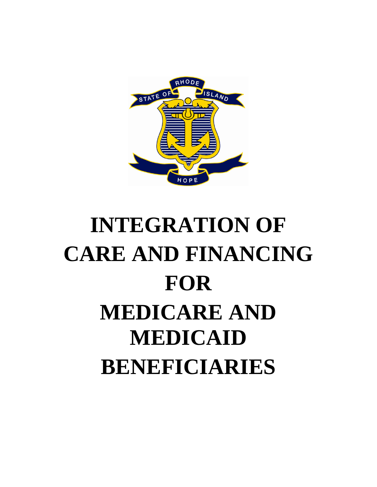

# **INTEGRATION OF CARE AND FINANCING FOR MEDICARE AND MEDICAID BENEFICIARIES**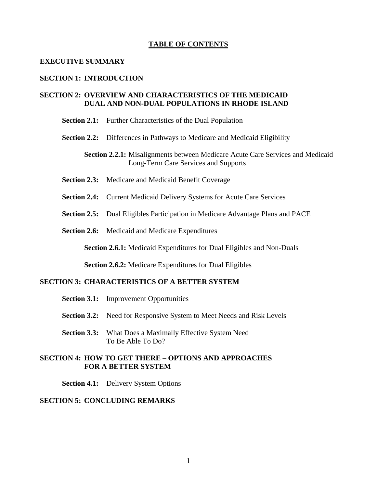#### **TABLE OF CONTENTS**

#### **EXECUTIVE SUMMARY**

#### **SECTION 1: INTRODUCTION**

# **SECTION 2: OVERVIEW AND CHARACTERISTICS OF THE MEDICAID DUAL AND NON-DUAL POPULATIONS IN RHODE ISLAND**

**Section 2.1:** Further Characteristics of the Dual Population

**Section 2.2:** Differences in Pathways to Medicare and Medicaid Eligibility

**Section 2.2.1:** Misalignments between Medicare Acute Care Services and Medicaid Long-Term Care Services and Supports

- **Section 2.3:** Medicare and Medicaid Benefit Coverage
- **Section 2.4:** Current Medicaid Delivery Systems for Acute Care Services
- **Section 2.5:** Dual Eligibles Participation in Medicare Advantage Plans and PACE
- **Section 2.6:** Medicaid and Medicare Expenditures

**Section 2.6.1:** Medicaid Expenditures for Dual Eligibles and Non-Duals

**Section 2.6.2:** Medicare Expenditures for Dual Eligibles

# **SECTION 3: CHARACTERISTICS OF A BETTER SYSTEM**

- **Section 3.1:** Improvement Opportunities
- **Section 3.2:** Need for Responsive System to Meet Needs and Risk Levels
- **Section 3.3:** What Does a Maximally Effective System Need To Be Able To Do?

#### **SECTION 4: HOW TO GET THERE – OPTIONS AND APPROACHES FOR A BETTER SYSTEM**

**Section 4.1:** Delivery System Options

# **SECTION 5: CONCLUDING REMARKS**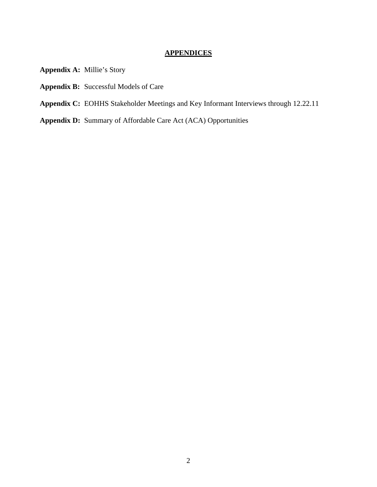# **APPENDICES**

- **Appendix A:** Millie's Story
- **Appendix B:** Successful Models of Care
- **Appendix C:** EOHHS Stakeholder Meetings and Key Informant Interviews through 12.22.11
- **Appendix D:** Summary of Affordable Care Act (ACA) Opportunities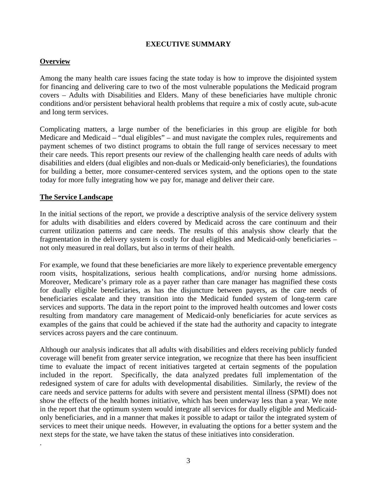# **EXECUTIVE SUMMARY**

# **Overview**

Among the many health care issues facing the state today is how to improve the disjointed system for financing and delivering care to two of the most vulnerable populations the Medicaid program covers – Adults with Disabilities and Elders. Many of these beneficiaries have multiple chronic conditions and/or persistent behavioral health problems that require a mix of costly acute, sub-acute and long term services.

Complicating matters, a large number of the beneficiaries in this group are eligible for both Medicare and Medicaid – "dual eligibles" – and must navigate the complex rules, requirements and payment schemes of two distinct programs to obtain the full range of services necessary to meet their care needs. This report presents our review of the challenging health care needs of adults with disabilities and elders (dual eligibles and non-duals or Medicaid-only beneficiaries), the foundations for building a better, more consumer-centered services system, and the options open to the state today for more fully integrating how we pay for, manage and deliver their care.

# **The Service Landscape**

.

In the initial sections of the report, we provide a descriptive analysis of the service delivery system for adults with disabilities and elders covered by Medicaid across the care continuum and their current utilization patterns and care needs. The results of this analysis show clearly that the fragmentation in the delivery system is costly for dual eligibles and Medicaid-only beneficiaries – not only measured in real dollars, but also in terms of their health.

For example, we found that these beneficiaries are more likely to experience preventable emergency room visits, hospitalizations, serious health complications, and/or nursing home admissions. Moreover, Medicare's primary role as a payer rather than care manager has magnified these costs for dually eligible beneficiaries, as has the disjuncture between payers, as the care needs of beneficiaries escalate and they transition into the Medicaid funded system of long-term care services and supports. The data in the report point to the improved health outcomes and lower costs resulting from mandatory care management of Medicaid-only beneficiaries for acute services as examples of the gains that could be achieved if the state had the authority and capacity to integrate services across payers and the care continuum.

Although our analysis indicates that all adults with disabilities and elders receiving publicly funded coverage will benefit from greater service integration, we recognize that there has been insufficient time to evaluate the impact of recent initiatives targeted at certain segments of the population included in the report. Specifically, the data analyzed predates full implementation of the redesigned system of care for adults with developmental disabilities. Similarly, the review of the care needs and service patterns for adults with severe and persistent mental illness (SPMI) does not show the effects of the health homes initiative, which has been underway less than a year. We note in the report that the optimum system would integrate all services for dually eligible and Medicaidonly beneficiaries, and in a manner that makes it possible to adapt or tailor the integrated system of services to meet their unique needs. However, in evaluating the options for a better system and the next steps for the state, we have taken the status of these initiatives into consideration.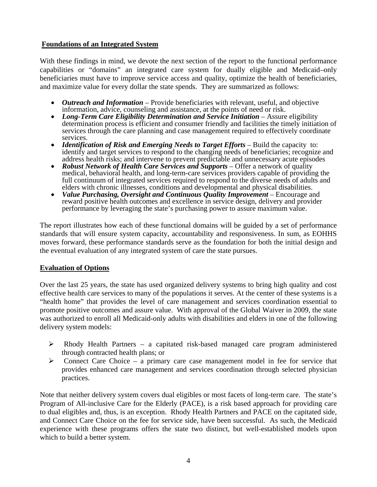# **Foundations of an Integrated System**

With these findings in mind, we devote the next section of the report to the functional performance capabilities or "domains" an integrated care system for dually eligible and Medicaid–only beneficiaries must have to improve service access and quality, optimize the health of beneficiaries, and maximize value for every dollar the state spends. They are summarized as follows:

- *Outreach and Information* Provide beneficiaries with relevant, useful, and objective information, advice, counseling and assistance, at the points of need or risk.
- information, advice, counseling and assistance, at the points of need or risk. *Long-Term Care Eligibility Determination and Service Initiation* Assure eligibility determination process is efficient and consumer friendly and facilities the timely initiation of services through the care planning and case management required to effectively coordinate
- services.<br>
 *Identification of Risk and Emerging Needs to Target Efforts* Build the capacity to: identify and target services to respond to the changing needs of beneficiaries; recognize and address health risks; and intervene to prevent predictable and unnecessary acute episodes • *Robust Network of Health Care Services and Supports* – Offer a network of quality
- medical, behavioral health, and long-term-care services providers capable of providing the full continuum of integrated services required to respond to the diverse needs of adults and elders with chronic illnesses, conditions and developmental and physical disabilities.
- *Value Purchasing, Oversight and Continuous Quality Improvement* Encourage and reward positive health outcomes and excellence in service design, delivery and provider performance by leveraging the state's purchasing power to assure maximum value.

The report illustrates how each of these functional domains will be guided by a set of performance standards that will ensure system capacity, accountability and responsiveness. In sum, as EOHHS moves forward, these performance standards serve as the foundation for both the initial design and the eventual evaluation of any integrated system of care the state pursues.

# **Evaluation of Options**

Over the last 25 years, the state has used organized delivery systems to bring high quality and cost effective health care services to many of the populations it serves. At the center of these systems is a "health home" that provides the level of care management and services coordination essential to promote positive outcomes and assure value. With approval of the Global Waiver in 2009, the state was authorized to enroll all Medicaid-only adults with disabilities and elders in one of the following delivery system models:

- ¾ Rhody Health Partners a capitated risk-based managed care program administered through contracted health plans; or
- $\triangleright$  Connect Care Choice a primary care case management model in fee for service that provides enhanced care management and services coordination through selected physician practices.

Note that neither delivery system covers dual eligibles or most facets of long-term care. The state's Program of All-inclusive Care for the Elderly (PACE), is a risk based approach for providing care to dual eligibles and, thus, is an exception. Rhody Health Partners and PACE on the capitated side, and Connect Care Choice on the fee for service side, have been successful. As such, the Medicaid experience with these programs offers the state two distinct, but well-established models upon which to build a better system.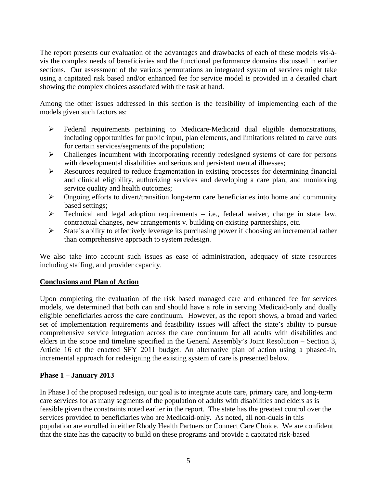The report presents our evaluation of the advantages and drawbacks of each of these models vis-àvis the complex needs of beneficiaries and the functional performance domains discussed in earlier sections. Our assessment of the various permutations an integrated system of services might take using a capitated risk based and/or enhanced fee for service model is provided in a detailed chart showing the complex choices associated with the task at hand.

Among the other issues addressed in this section is the feasibility of implementing each of the models given such factors as:

- $\triangleright$  Federal requirements pertaining to Medicare-Medicaid dual eligible demonstrations, including opportunities for public input, plan elements, and limitations related to carve outs for certain services/segments of the population;
- ¾ Challenges incumbent with incorporating recently redesigned systems of care for persons with developmental disabilities and serious and persistent mental illnesses;
- $\triangleright$  Resources required to reduce fragmentation in existing processes for determining financial and clinical eligibility, authorizing services and developing a care plan, and monitoring service quality and health outcomes;
- $\triangleright$  Ongoing efforts to divert/transition long-term care beneficiaries into home and community based settings;
- $\triangleright$  Technical and legal adoption requirements i.e., federal waiver, change in state law, contractual changes, new arrangements v. building on existing partnerships, etc.
- $\triangleright$  State's ability to effectively leverage its purchasing power if choosing an incremental rather than comprehensive approach to system redesign.

We also take into account such issues as ease of administration, adequacy of state resources including staffing, and provider capacity.

# **Conclusions and Plan of Action**

Upon completing the evaluation of the risk based managed care and enhanced fee for services models, we determined that both can and should have a role in serving Medicaid-only and dually eligible beneficiaries across the care continuum. However, as the report shows, a broad and varied set of implementation requirements and feasibility issues will affect the state's ability to pursue comprehensive service integration across the care continuum for all adults with disabilities and elders in the scope and timeline specified in the General Assembly's Joint Resolution – Section 3, Article 16 of the enacted SFY 2011 budget. An alternative plan of action using a phased-in, incremental approach for redesigning the existing system of care is presented below.

# **Phase 1 – January 2013**

In Phase I of the proposed redesign, our goal is to integrate acute care, primary care, and long-term care services for as many segments of the population of adults with disabilities and elders as is feasible given the constraints noted earlier in the report. The state has the greatest control over the services provided to beneficiaries who are Medicaid-only. As noted, all non-duals in this population are enrolled in either Rhody Health Partners or Connect Care Choice. We are confident that the state has the capacity to build on these programs and provide a capitated risk-based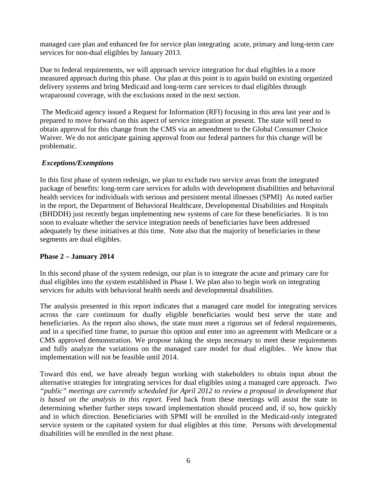managed care plan and enhanced fee for service plan integrating acute, primary and long-term care services for non-dual eligibles by January 2013.

Due to federal requirements, we will approach service integration for dual eligibles in a more measured approach during this phase. Our plan at this point is to again build on existing organized delivery systems and bring Medicaid and long-term care services to dual eligibles through wraparound coverage, with the exclusions noted in the next section.

 The Medicaid agency issued a Request for Information (RFI) focusing in this area last year and is prepared to move forward on this aspect of service integration at present. The state will need to obtain approval for this change from the CMS via an amendment to the Global Consumer Choice Waiver. We do not anticipate gaining approval from our federal partners for this change will be problematic.

# *Exceptions/Exemptions*

In this first phase of system redesign, we plan to exclude two service areas from the integrated package of benefits: long-term care services for adults with development disabilities and behavioral health services for individuals with serious and persistent mental illnesses (SPMI) As noted earlier in the report, the Department of Behavioral Healthcare, Developmental Disabilities and Hospitals (BHDDH) just recently began implementing new systems of care for these beneficiaries. It is too soon to evaluate whether the service integration needs of beneficiaries have been addressed adequately by these initiatives at this time. Note also that the majority of beneficiaries in these segments are dual eligibles.

# **Phase 2 – January 2014**

In this second phase of the system redesign, our plan is to integrate the acute and primary care for dual eligibles into the system established in Phase I. We plan also to begin work on integrating services for adults with behavioral health needs and developmental disabilities.

The analysis presented in this report indicates that a managed care model for integrating services across the care continuum for dually eligible beneficiaries would best serve the state and beneficiaries. As the report also shows, the state must meet a rigorous set of federal requirements, and in a specified time frame, to pursue this option and enter into an agreement with Medicare or a CMS approved demonstration. We propose taking the steps necessary to meet these requirements and fully analyze the variations on the managed care model for dual eligibles. We know that implementation will not be feasible until 2014.

Toward this end, we have already begun working with stakeholders to obtain input about the alternative strategies for integrating services for dual eligibles using a managed care approach. *Two "public" meetings are currently scheduled for April 2012 to review a proposal in development that is based on the analysis in this report.* Feed back from these meetings will assist the state in determining whether further steps toward implementation should proceed and, if so, how quickly and in which direction. Beneficiaries with SPMI will be enrolled in the Medicaid-only integrated service system or the capitated system for dual eligibles at this time. Persons with developmental disabilities will be enrolled in the next phase.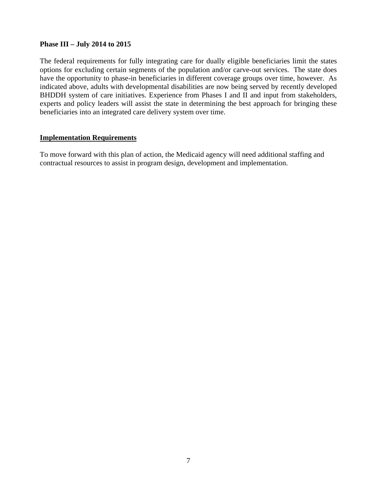# **Phase III – July 2014 to 2015**

The federal requirements for fully integrating care for dually eligible beneficiaries limit the states options for excluding certain segments of the population and/or carve-out services. The state does have the opportunity to phase-in beneficiaries in different coverage groups over time, however. As indicated above, adults with developmental disabilities are now being served by recently developed BHDDH system of care initiatives. Experience from Phases I and II and input from stakeholders, experts and policy leaders will assist the state in determining the best approach for bringing these beneficiaries into an integrated care delivery system over time.

# **Implementation Requirements**

To move forward with this plan of action, the Medicaid agency will need additional staffing and contractual resources to assist in program design, development and implementation.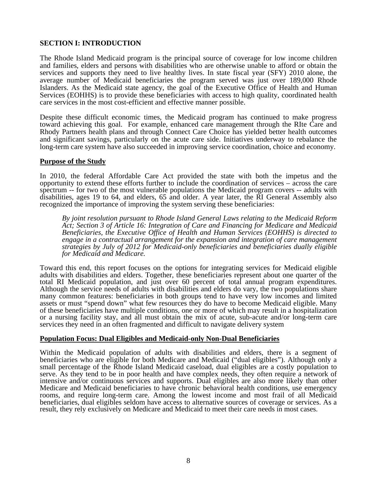# **SECTION I: INTRODUCTION**

The Rhode Island Medicaid program is the principal source of coverage for low income children and families, elders and persons with disabilities who are otherwise unable to afford or obtain the services and supports they need to live healthy lives. In state fiscal year (SFY) 2010 alone, the average number of Medicaid beneficiaries the program served was just over 189,000 Rhode Islanders. As the Medicaid state agency, the goal of the Executive Office of Health and Human Services (EOHHS) is to provide these beneficiaries with access to high quality, coordinated health care services in the most cost-efficient and effective manner possible.

Despite these difficult economic times, the Medicaid program has continued to make progress toward achieving this goal. For example, enhanced care management through the RIte Care and Rhody Partners health plans and through Connect Care Choice has yielded better health outcomes and significant savings, particularly on the acute care side. Initiatives underway to rebalance the long-term care system have also succeeded in improving service coordination, choice and economy.

#### **Purpose of the Study**

Ξ In 2010, the federal Affordable Care Act provided the state with both the impetus and the opportunity to extend these efforts further to include the coordination of services – across the care spectrum -- for two of the most vulnerable populations the Medicaid program covers -- adults with disabilities, ages 19 to 64, and elders, 65 and older. A year later, the RI General Assembly also recognized the importance of improving the system serving these beneficiaries:

*By joint resolution pursuant to Rhode Island General Laws relating to the Medicaid Reform Act; Section 3 of Article 16: Integration of Care and Financing for Medicare and Medicaid Beneficiaries, the Executive Office of Health and Human Services (EOHHS) is directed to engage in a contractual arrangement for the expansion and integration of care management strategies by July of 2012 for Medicaid-only beneficiaries and beneficiaries dually eligible for Medicaid and Medicare.* 

Toward this end, this report focuses on the options for integrating services for Medicaid eligible adults with disabilities and elders. Together, these beneficiaries represent about one quarter of the total RI Medicaid population, and just over 60 percent of total annual program expenditures. Although the service needs of adults with disabilities and elders do vary, the two populations share many common features: beneficiaries in both groups tend to have very low incomes and limited assets or must "spend down" what few resources they do have to become Medicaid eligible. Many of these beneficiaries have multiple conditions, one or more of which may result in a hospitalization or a nursing facility stay, and all must obtain the mix of acute, sub-acute and/or long-term care services they need in an often fragmented and difficult to navigate delivery system

#### **Population Focus: Dual Eligibles and Medicaid-only Non-Dual Beneficiaries**

Within the Medicaid population of adults with disabilities and elders, there is a segment of beneficiaries who are eligible for both Medicare and Medicaid ("dual eligibles"). Although only a small percentage of the Rhode Island Medicaid caseload, dual eligibles are a costly population to serve. As they tend to be in poor health and have complex needs, they often require a network of intensive and/or continuous services and supports. Dual eligibles are also more likely than other Medicare and Medicaid beneficiaries to have chronic behavioral health conditions, use emergency rooms, and require long-term care. Among the lowest income and most frail of all Medicaid beneficiaries, dual eligibles seldom have access to alternative sources of coverage or services. As a result, they rely exclusively on Medicare and Medicaid to meet their care needs in most cases.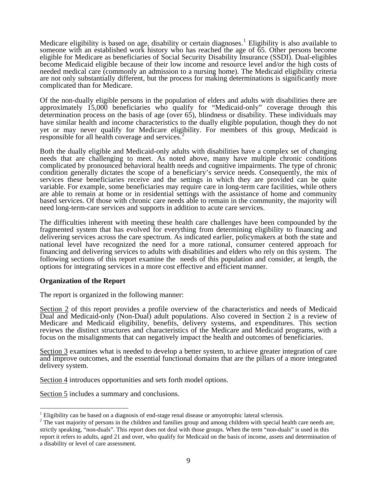Medicare eligibility is based on age, disability or certain diagnoses.<sup>[1](#page-9-0)</sup> Eligibility is also available to someone with an established work history who has reached the age of 65. Other persons become eligible for Medicare as beneficiaries of Social Security Disability Insurance (SSDI). Dual-eligibles become Medicaid eligible because of their low income and resource level and/or the high costs of needed medical care (commonly an admission to a nursing home). The Medicaid eligibility criteria are not only substantially different, but the process for making determinations is significantly more complicated than for Medicare.

Of the non-dually eligible persons in the population of elders and adults with disabilities there are approximately 15,000 beneficiaries who qualify for "Medicaid-only" coverage through this determination process on the basis of age (over 65), blindness or disability. These individuals may have similar health and income characteristics to the dually eligible population, though they do not yet or may never qualify for Medicare elig[ib](#page-9-1)ility. For members of this group, Medicaid is responsible for all health coverage and services.<sup>2</sup>

Both the dually eligible and Medicaid-only adults with disabilities have a complex set of changing needs that are challenging to meet. As noted above, many have multiple chronic conditions complicated by pronounced behavioral health needs and cognitive impairments. The type of chronic condition generally dictates the scope of a beneficiary's service needs. Consequently, the mix of services these beneficiaries receive and the settings in which they are provided can be quite variable. For example, some beneficiaries may require care in long-term care facilities, while others are able to remain at home or in residential settings with the assistance of home and community based services. Of those with chronic care needs able to remain in the community, the majority will need long-term-care services and supports in addition to acute care services.

The difficulties inherent with meeting these health care challenges have been compounded by the fragmented system that has evolved for everything from determining eligibility to financing and delivering services across the care spectrum. As indicated earlier, policymakers at both the state and national level have recognized the need for a more rational, consumer centered approach for financing and delivering services to adults with disabilities and elders who rely on this system. The following sections of this report examine the needs of this population and consider, at length, the options for integrating services in a more cost effective and efficient manner.

#### **Organization of the Report**

 $\overline{a}$ 

The report is organized in the following manner:

Section 2 of this report provides a profile overview of the characteristics and needs of Medicaid Dual and Medicaid-only (Non-Dual) adult populations. Also covered in Section 2 is a review of Medicare and Medicaid eligibility, benefits, delivery systems, and expenditures. This section reviews the distinct structures and characteristics of the Medicare and Medicaid programs, with a focus on the misalignments that can negatively impact the health and outcomes of beneficiaries.

Section 3 examines what is needed to develop a better system, to achieve greater integration of care and improve outcomes, and the essential functional domains that are the pillars of a more integrated delivery system.

Section 4 introduces opportunities and sets forth model options.

Section 5 includes a summary and conclusions.

<span id="page-9-0"></span><sup>&</sup>lt;sup>1</sup> Eligibility can be based on a diagnosis of end-stage renal disease or amyotrophic lateral sclerosis.

<span id="page-9-1"></span> $2$  The vast majority of persons in the children and families group and among children with special health care needs are, strictly speaking, "non-duals". This report does not deal with those groups. When the term "non-duals" is used in this report it refers to adults, aged 21 and over, who qualify for Medicaid on the basis of income, assets and determination of a disability or level of care assessment.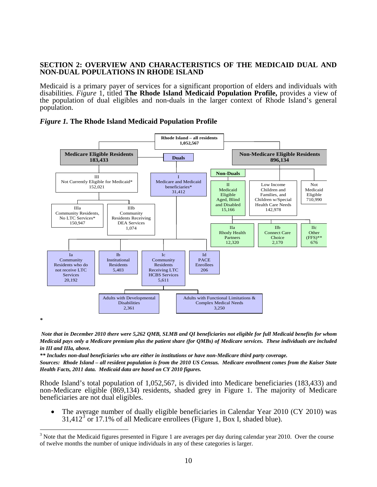#### **SECTION 2: OVERVIEW AND CHARACTERISTICS OF THE MEDICAID DUAL AND NON-DUAL POPULATIONS IN RHODE ISLAND**

Medicaid is a primary payer of services for a significant proportion of elders and individuals with disabilities. *Figure* 1, titled **The Rhode Island Medicaid Population Profile,** provides a view of the population of dual eligibles and non-duals in the larger context of Rhode Island's general population.





 *Note that in December 2010 there were 5,262 QMB, SLMB and QI beneficiaries not eligible for full Medicaid benefits for whom Medicaid pays only a Medicare premium plus the patient share (for QMBs) of Medicare services. These individuals are included in III and IIIa, above.* 

*\*\* Includes non-dual beneficiaries who are either in institutions or have non-Medicare third party coverage.* 

 $\overline{a}$ 

*Sources: Rhode Island – all resident population is from the 2010 US Census. Medicare enrollment comes from the Kaiser State Health Facts, 2011 data. Medicaid data are based on CY 2010 figures.*

Rhode Island's total population of 1,052,567, is divided into Medicare beneficiaries (183,433) and non-Medicare eligible (869,134) residents, shaded grey in Figure 1. The majority of Medicare beneficiaries are not dual eligibles.

• The average number of dually eligible beneficiaries in Calendar Year 2010 (CY 2010) was  $31,412<sup>3</sup>$  $31,412<sup>3</sup>$  or 17.1% of all Medicare enrollees (Figure 1, Box I, shaded blue).

<span id="page-10-0"></span> $3$  Note that the Medicaid figures presented in Figure 1 are averages per day during calendar year 2010. Over the course of twelve months the number of unique individuals in any of these categories is larger.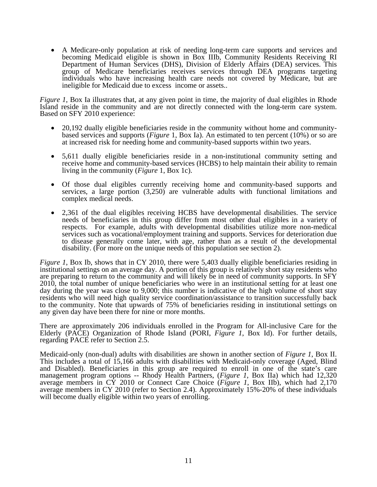• A Medicare-only population at risk of needing long-term care supports and services and becoming Medicaid eligible is shown in Box IIIb, Community Residents Receiving RI Department of Human Services (DHS), Division of Elderly Affairs (DEA) services. This group of Medicare beneficiaries receives services through DEA programs targeting individuals who have increasing health care needs not covered by Medicare, but are ineligible for Medicaid due to excess income or assets..

*Figure 1*, Box Ia illustrates that, at any given point in time, the majority of dual eligibles in Rhode Island reside in the community and are not directly connected with the long-term care system. Based on SFY 2010 experience:

- 20,192 dually eligible beneficiaries reside in the community without home and communitybased services and supports (*Figure* 1, Box Ia). An estimated to ten percent (10%) or so are at increased risk for needing home and community-based supports within two years.
- 5,611 dually eligible beneficiaries reside in a non-institutional community setting and receive home and community-based services (HCBS) to help maintain their ability to remain living in the community (*Figure* 1, Box 1c).
- Of those dual eligibles currently receiving home and community-based supports and services, a large portion (3,250) are vulnerable adults with functional limitations and complex medical needs.
- 2,361 of the dual eligibles receiving HCBS have developmental disabilities. The service needs of beneficiaries in this group differ from most other dual eligibles in a variety of respects. For example, adults with developmental disabilities utilize more non-medical services such as vocational/employment training and supports. Services for deterioration due to disease generally come later, with age, rather than as a result of the developmental disability. (For more on the unique needs of this population see section 2).

*Figure 1*, Box Ib, shows that in CY 2010, there were 5,403 dually eligible beneficiaries residing in institutional settings on an average day. A portion of this group is relatively short stay residents who are preparing to return to the community and will likely be in need of community supports. In SFY 2010, the total number of unique beneficiaries who were in an institutional setting for at least one day during the year was close to 9,000; this number is indicative of the high volume of short stay residents who will need high quality service coordination/assistance to transition successfully back to the community. Note that upwards of 75% of beneficiaries residing in institutional settings on any given day have been there for nine or more months.

There are approximately 206 individuals enrolled in the Program for All-inclusive Care for the Elderly (PACE) Organization of Rhode Island (PORI, *Figure 1*, Box Id). For further details, regarding PACE refer to Section 2.5.

Medicaid-only (non-dual) adults with disabilities are shown in another section of *Figure 1*, Box II. This includes a total of 15,166 adults with disabilities with Medicaid-only coverage (Aged, Blind and Disabled). Beneficiaries in this group are required to enroll in one of the state's care management program options -- Rhody Health Partners, (*Figure 1*, Box IIa) which had 12,320 average members in CY 2010 or Connect Care Choice (*Figure 1*, Box IIb), which had 2,170 average members in CY 2010 (refer to Section 2.4). Approximately 15%-20% of these individuals will become dually eligible within two years of enrolling.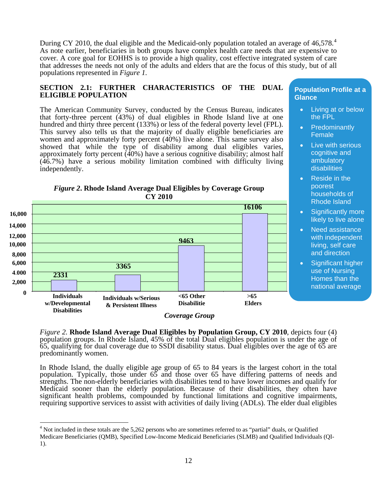During CY 2010, the dual eligible and the Medicaid-only population totaled an average of [4](#page-12-0)6,578.<sup>4</sup> As note earlier, beneficiaries in both groups have complex health care needs that are expensive to cover. A core goal for EOHHS is to provide a high quality, cost effective integrated system of care that addresses the needs not only of the adults and elders that are the focus of this study, but of all populations represented in *Figure 1.*

#### **SECTION 2.1: FURTHER CHARACTERISTICS OF THE DUAL ELIGIBLE POPULATION**

The American Community Survey, conducted by the Census Bureau, indicates that forty-three percent (43%) of dual eligibles in Rhode Island live at one hundred and thirty three percent (133%) or less of the federal poverty level (FPL). This survey also tells us that the majority of dually eligible beneficiaries are women and approximately forty percent (40%) live alone. This same survey also showed that while the type of disability among dual eligibles varies, approximately forty percent (40%) have a serious cognitive disability; almost half (46.7%) have a serious mobility limitation combined with difficulty living independently.





*Coverage Group*

*Figure 2.* **Rhode Island Average Dual Eligibles by Population Group, CY 2010**, depicts four (4) population groups. In Rhode Island, 45% of the total Dual eligibles population is under the age of 65, qualifying for dual coverage due to SSDI disability status. Dual eligibles over the age of 65 are predominantly women.

In Rhode Island, the dually eligible age group of 65 to 84 years is the largest cohort in the total population. Typically, those under 65 and those over 65 have differing patterns of needs and strengths. The non-elderly beneficiaries with disabilities tend to have lower incomes and qualify for Medicaid sooner than the elderly population. Because of their disabilities, they often have significant health problems, compounded by functional limitations and cognitive impairments, requiring supportive services to assist with activities of daily living (ADLs). The elder dual eligibles

 $\overline{a}$ 

#### **Population Profile at a Glance**

- Living at or below the FPL
- **Predominantly** Female
- Live with serious cognitive and ambulatory disabilities
- Reside in the poorest households of Rhode Island
- Significantly more likely to live alone
- Need assistance with independent living, self care and direction
- Significant higher use of Nursing Homes than the national average

 $4$  Not included in these totals are the 5,262 persons who are sometimes referred to as "partial" duals, or Qualified

<span id="page-12-0"></span>Medicare Beneficiaries (QMB), Specified Low-Income Medicaid Beneficiaries (SLMB) and Qualified Individuals (QI-1).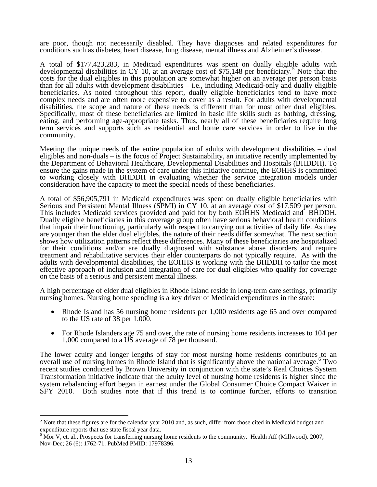are poor, though not necessarily disabled. They have diagnoses and related expenditures for conditions such as diabetes, heart disease, lung disease, mental illness and Alzheimer's disease.

A total of \$177,423,283, in Medicaid expenditures was spent on dually eligible adults with developmental disabilities in CY 10, at an average cost of \$7[5](#page-13-0),148 per beneficiary.<sup>5</sup> Note that the costs for the dual eligibles in this population are somewhat higher on an average per person basis than for all adults with development disabilities – i.e., including Medicaid-only and dually eligible beneficiaries. As noted throughout this report, dually eligible beneficiaries tend to have more complex needs and are often more expensive to cover as a result. For adults with developmental disabilities, the scope and nature of these needs is different than for most other dual eligibles. Specifically, most of these beneficiaries are limited in basic life skills such as bathing, dressing, eating, and performing age-appropriate tasks. Thus, nearly all of these beneficiaries require long term services and supports such as residential and home care services in order to live in the community.

Meeting the unique needs of the entire population of adults with development disabilities – dual eligibles and non-duals – is the focus of Project Sustainability, an initiative recently implemented by the Department of Behavioral Healthcare, Developmental Disabilities and Hospitals (BHDDH). To ensure the gains made in the system of care under this initiative continue, the EOHHS is committed to working closely with BHDDH in evaluating whether the service integration models under consideration have the capacity to meet the special needs of these beneficiaries.

A total of \$56,905,791 in Medicaid expenditures was spent on dually eligible beneficiaries with Serious and Persistent Mental Illness (SPMI) in CY 10, at an average cost of \$17,509 per person. This includes Medicaid services provided and paid for by both EOHHS Medicaid and BHDDH. Dually eligible beneficiaries in this coverage group often have serious behavioral health conditions that impair their functioning, particularly with respect to carrying out activities of daily life. As they are younger than the elder dual eligibles, the nature of their needs differ somewhat. The next section shows how utilization patterns reflect these differences. Many of these beneficiaries are hospitalized for their conditions and/or are dually diagnosed with substance abuse disorders and require treatment and rehabilitative services their elder counterparts do not typically require. As with the adults with developmental disabilities, the EOHHS is working with the BHDDH to tailor the most effective approach of inclusion and integration of care for dual eligibles who qualify for coverage on the basis of a serious and persistent mental illness.

A high percentage of elder dual eligibles in Rhode Island reside in long-term care settings, primarily nursing homes. Nursing home spending is a key driver of Medicaid expenditures in the state:

- Rhode Island has 56 nursing home residents per 1,000 residents age 65 and over compared to the US rate of 38 per 1,000.
- For Rhode Islanders age 75 and over, the rate of nursing home residents increases to 104 per 1,000 compared to a US average of 78 per thousand.

The lower acuity and longer lengths of stay for most nursing home residents contributes to an overall use of nursing homes in Rhode Island that is significantly above the national average.<sup>[6](#page-13-1)</sup> Two recent studies conducted by Brown University in conjunction with the state's Real Choices System Transformation initiative indicate that the acuity level of nursing home residents is higher since the system rebalancing effort began in earnest under the Global Consumer Choice Compact Waiver in SFY 2010. Both studies note that if this trend is to continue further, efforts to transition

 $\overline{a}$ 

<span id="page-13-0"></span> $<sup>5</sup>$  Note that these figures are for the calendar year 2010 and, as such, differ from those cited in Medicaid budget and</sup> expenditure reports that use state fiscal year data.

<span id="page-13-1"></span> $6$  Mor V, et. al., Prospects for transferring nursing home residents to the community. Health Aff (Millwood). 2007, Nov-Dec; 26 (6): 1762-71. PubMed PMID: 17978396.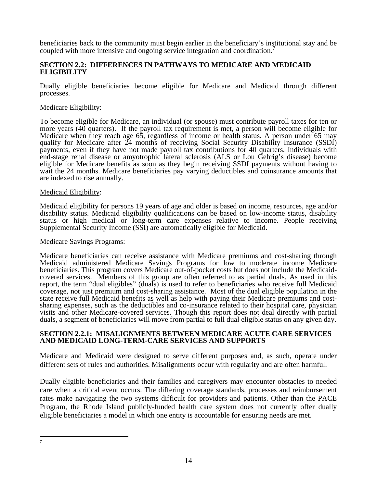beneficiaries back to the community must begin earlier in the beneficiary's institutional stay and be coupled with more intensive and ongoing service integration and coordination.<sup>[7](#page-14-0)</sup>

# **SECTION 2.2: DIFFERENCES IN PATHWAYS TO MEDICARE AND MEDICAID ELIGIBILITY**

Dually eligible beneficiaries become eligible for Medicare and Medicaid through different processes.

# Medicare Eligibility:

To become eligible for Medicare, an individual (or spouse) must contribute payroll taxes for ten or more years (40 quarters). If the payroll tax requirement is met, a person will become eligible for Medicare when they reach age 65, regardless of income or health status. A person under 65 may qualify for Medicare after 24 months of receiving Social Security Disability Insurance (SSDI) payments, even if they have not made payroll tax contributions for 40 quarters. Individuals with end-stage renal disease or amyotrophic lateral sclerosis (ALS or Lou Gehrig's disease) become eligible for Medicare benefits as soon as they begin receiving SSDI payments without having to wait the 24 months. Medicare beneficiaries pay varying deductibles and coinsurance amounts that are indexed to rise annually.

#### Medicaid Eligibility:

Medicaid eligibility for persons 19 years of age and older is based on income, resources, age and/or disability status. Medicaid eligibility qualifications can be based on low-income status, disability status or high medical or long-term care expenses relative to income. People receiving Supplemental Security Income (SSI) are automatically eligible for Medicaid.

#### Medicare Savings Programs:

Medicare beneficiaries can receive assistance with Medicare premiums and cost-sharing through Medicaid administered Medicare Savings Programs for low to moderate income Medicare beneficiaries. This program covers Medicare out-of-pocket costs but does not include the Medicaidcovered services. Members of this group are often referred to as partial duals. As used in this report, the term "dual eligibles" (duals) is used to refer to beneficiaries who receive full Medicaid coverage, not just premium and cost-sharing assistance. Most of the dual eligible population in the state receive full Medicaid benefits as well as help with paying their Medicare premiums and costsharing expenses, such as the deductibles and co-insurance related to their hospital care, physician visits and other Medicare-covered services. Though this report does not deal directly with partial duals, a segment of beneficiaries will move from partial to full dual eligible status on any given day.

#### **SECTION 2.2.1: MISALIGNMENTS BETWEEN MEDICARE ACUTE CARE SERVICES AND MEDICAID LONG-TERM-CARE SERVICES AND SUPPORTS**

Medicare and Medicaid were designed to serve different purposes and, as such, operate under different sets of rules and authorities. Misalignments occur with regularity and are often harmful.

Dually eligible beneficiaries and their families and caregivers may encounter obstacles to needed care when a critical event occurs. The differing coverage standards, processes and reimbursement rates make navigating the two systems difficult for providers and patients. Other than the PACE Program, the Rhode Island publicly-funded health care system does not currently offer dually eligible beneficiaries a model in which one entity is accountable for ensuring needs are met.

<span id="page-14-0"></span> 7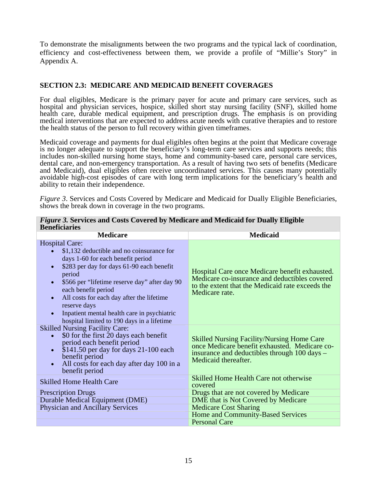To demonstrate the misalignments between the two programs and the typical lack of coordination, efficiency and cost-effectiveness between them, we provide a profile of "Millie's Story" in Appendix A.

# **SECTION 2.3: MEDICARE AND MEDICAID BENEFIT COVERAGES**

For dual eligibles, Medicare is the primary payer for acute and primary care services, such as hospital and physician services, hospice, skilled short stay nursing facility (SNF), skilled home health care, durable medical equipment, and prescription drugs. The emphasis is on providing medical interventions that are expected to address acute needs with curative therapies and to restore the health status of the person to full recovery within given timeframes.

Medicaid coverage and payments for dual eligibles often begins at the point that Medicare coverage is no longer adequate to support the beneficiary's long-term care services and supports needs; this includes non-skilled nursing home stays, home and community-based care, personal care services, dental care, and non-emergency transportation. As a result of having two sets of benefits (Medicare and Medicaid), dual eligibles often receive uncoordinated services. This causes many potentially avoidable high-cost episodes of care with long term implications for the beneficiary's health and ability to retain their independence.

*Figure 3.* Services and Costs Covered by Medicare and Medicaid for Dually Eligible Beneficiaries, shows the break down in coverage in the two programs.

| benenciaries                                                                                                                                                                                                                                                                                                                                                                                                                                         |                                                                                                                                                                            |
|------------------------------------------------------------------------------------------------------------------------------------------------------------------------------------------------------------------------------------------------------------------------------------------------------------------------------------------------------------------------------------------------------------------------------------------------------|----------------------------------------------------------------------------------------------------------------------------------------------------------------------------|
| <b>Medicare</b>                                                                                                                                                                                                                                                                                                                                                                                                                                      | <b>Medicaid</b>                                                                                                                                                            |
| <b>Hospital Care:</b><br>\$1,132 deductible and no coinsurance for<br>days 1-60 for each benefit period<br>\$283 per day for days 61-90 each benefit<br>$\bullet$<br>period<br>\$566 per "lifetime reserve day" after day 90<br>$\bullet$<br>each benefit period<br>All costs for each day after the lifetime<br>$\bullet$<br>reserve days<br>Inpatient mental health care in psychiatric<br>$\bullet$<br>hospital limited to 190 days in a lifetime | Hospital Care once Medicare benefit exhausted.<br>Medicare co-insurance and deductibles covered<br>to the extent that the Medicaid rate exceeds the<br>Medicare rate.      |
| <b>Skilled Nursing Facility Care:</b><br>\$0 for the first 20 days each benefit<br>period each benefit period<br>$$141.50$ per day for days 21-100 each<br>$\bullet$<br>benefit period<br>All costs for each day after day 100 in a<br>$\bullet$<br>benefit period                                                                                                                                                                                   | <b>Skilled Nursing Facility/Nursing Home Care</b><br>once Medicare benefit exhausted. Medicare co-<br>insurance and deductibles through 100 days -<br>Medicaid thereafter. |
| <b>Skilled Home Health Care</b>                                                                                                                                                                                                                                                                                                                                                                                                                      | Skilled Home Health Care not otherwise<br>covered                                                                                                                          |
| <b>Prescription Drugs</b>                                                                                                                                                                                                                                                                                                                                                                                                                            | Drugs that are not covered by Medicare                                                                                                                                     |
| Durable Medical Equipment (DME)                                                                                                                                                                                                                                                                                                                                                                                                                      | DME that is Not Covered by Medicare                                                                                                                                        |
| <b>Physician and Ancillary Services</b>                                                                                                                                                                                                                                                                                                                                                                                                              | <b>Medicare Cost Sharing</b>                                                                                                                                               |
|                                                                                                                                                                                                                                                                                                                                                                                                                                                      | Home and Community-Based Services                                                                                                                                          |
|                                                                                                                                                                                                                                                                                                                                                                                                                                                      | <b>Personal Care</b>                                                                                                                                                       |

#### *Figure 3.* **Services and Costs Covered by Medicare and Medicaid for Dually Eligible Beneficiaries**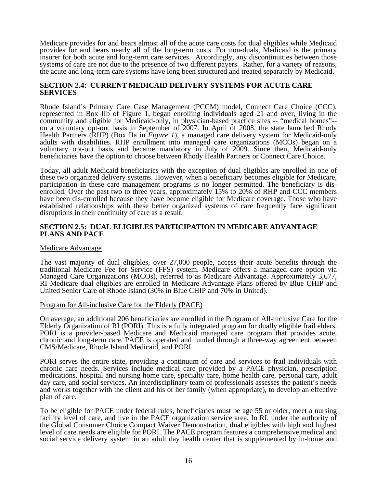Medicare provides for and bears almost all of the acute care costs for dual eligibles while Medicaid provides for and bears nearly all of the long-term costs. For non-duals, Medicaid is the primary insurer for both acute and long-term care services. Accordingly, any discontinuities between those systems of care are not due to the presence of two different payers. Rather, for a variety of reasons, the acute and long-term care systems have long been structured and treated separately by Medicaid.

#### **SECTION 2.4: CURRENT MEDICAID DELIVERY SYSTEMS FOR ACUTE CARE SERVICES**

Rhode Island's Primary Care Case Management (PCCM) model, Connect Care Choice (CCC), represented in Box IIb of Figure 1, began enrolling individuals aged 21 and over, living in the community and eligible for Medicaid-only, in physician-based practice sites -- "medical homes"- on a voluntary opt-out basis in September of 2007. In April of 2008, the state launched Rhody Health Partners (RHP) (Box IIa in *Figure 1*), a managed care delivery system for Medicaid-only adults with disabilities. RHP enrollment into managed care organizations (MCOs) began on a voluntary opt-out basis and became mandatory in July of 2009. Since then, Medicaid-only beneficiaries have the option to choose between Rhody Health Partners or Connect Care Choice.

Today, all adult Medicaid beneficiaries with the exception of dual eligibles are enrolled in one of these two organized delivery systems. However, when a beneficiary becomes eligible for Medicare, participation in these care management programs is no longer permitted. The beneficiary is disenrolled. Over the past two to three years, approximately 15% to 20% of RHP and CCC members have been dis-enrolled because they have become eligible for Medicare coverage. Those who have established relationships with these better organized systems of care frequently face significant disruptions in their continuity of care as a result.

#### **SECTION 2.5: DUAL ELIGIBLES PARTICIPATION IN MEDICARE ADVANTAGE PLANS AND PACE**

#### Medicare Advantage

The vast majority of dual eligibles, over 27,000 people, access their acute benefits through the traditional Medicare Fee for Service (FFS) system. Medicare offers a managed care option via Managed Care Organizations (MCOs), referred to as Medicare Advantage. Approximately 3,677, RI Medicare dual eligibles are enrolled in Medicare Advantage Plans offered by Blue CHIP and United Senior Care of Rhode Island (30% in Blue CHIP and 70% in United).

#### Program for All-inclusive Care for the Elderly (PACE)

On average, an additional 206 beneficiaries are enrolled in the Program of All-inclusive Care for the Elderly Organization of RI (PORI). This is a fully integrated program for dually eligible frail elders. PORI is a provider-based Medicare and Medicaid managed care program that provides acute, chronic and long-term care. PACE is operated and funded through a three-way agreement between CMS/Medicare, Rhode Island Medicaid, and PORI.

PORI serves the entire state, providing a continuum of care and services to frail individuals with chronic care needs. Services include medical care provided by a PACE physician, prescription medications, hospital and nursing home care, specialty care, home health care, personal care, adult day care, and social services. An interdisciplinary team of professionals assesses the patient's needs and works together with the client and his or her family (when appropriate), to develop an effective plan of care.

To be eligible for PACE under federal rules, beneficiaries must be age 55 or older, meet a nursing facility level of care, and live in the PACE organization service area. In RI, under the authority of the Global Consumer Choice Compact Waiver Demonstration, dual eligibles with high and highest level of care needs are eligible for PORI. The PACE program features a comprehensive medical and social service delivery system in an adult day health center that is supplemented by in-home and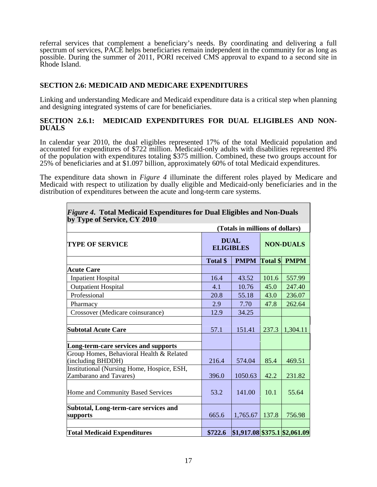referral services that complement a beneficiary's needs. By coordinating and delivering a full spectrum of services, PACE helps beneficiaries remain independent in the community for as long as possible. During the summer of 2011, PORI received CMS approval to expand to a second site in Rhode Island.

# **SECTION 2.6: MEDICAID AND MEDICARE EXPENDITURES**

Linking and understanding Medicare and Medicaid expenditure data is a critical step when planning and designing integrated systems of care for beneficiaries.

# **SECTION 2.6.1: MEDICAID EXPENDITURES FOR DUAL ELIGIBLES AND NON-DUALS**

In calendar year 2010, the dual eligibles represented 17% of the total Medicaid population and accounted for expenditures of \$722 million. Medicaid-only adults with disabilities represented 8% of the population with expenditures totaling \$375 million. Combined, these two groups account for 25% of beneficiaries and at \$1.097 billion, approximately 60% of total Medicaid expenditures.

The expenditure data shown in *Figure 4* illuminate the different roles played by Medicare and Medicaid with respect to utilization by dually eligible and Medicaid-only beneficiaries and in the distribution of expenditures between the acute and long-term care systems.

| <i>Figure 4.</i> Total Medicaid Expenditures for Dual Eligibles and Non-Duals<br>by Type of Service, CY 2010 |                                 |                                 |                  |               |  |
|--------------------------------------------------------------------------------------------------------------|---------------------------------|---------------------------------|------------------|---------------|--|
|                                                                                                              |                                 | (Totals in millions of dollars) |                  |               |  |
| <b>TYPE OF SERVICE</b>                                                                                       | <b>DUAL</b><br><b>ELIGIBLES</b> |                                 | <b>NON-DUALS</b> |               |  |
|                                                                                                              | Total \$                        | <b>PMPM</b>                     |                  | Total \$ PMPM |  |
| <b>Acute Care</b>                                                                                            |                                 |                                 |                  |               |  |
| <b>Inpatient Hospital</b>                                                                                    | 16.4                            | 43.52                           | 101.6            | 557.99        |  |
| <b>Outpatient Hospital</b>                                                                                   | 4.1                             | 10.76                           | 45.0             | 247.40        |  |
| Professional                                                                                                 | 20.8                            | 55.18                           | 43.0             | 236.07        |  |
| Pharmacy                                                                                                     | 2.9                             | 7.70                            | 47.8             | 262.64        |  |
| Crossover (Medicare coinsurance)                                                                             | 12.9                            | 34.25                           |                  |               |  |
|                                                                                                              |                                 |                                 |                  |               |  |
| <b>Subtotal Acute Care</b>                                                                                   | 57.1                            | 151.41                          | 237.3            | 1,304.11      |  |
|                                                                                                              |                                 |                                 |                  |               |  |
| Long-term-care services and supports                                                                         |                                 |                                 |                  |               |  |
| Group Homes, Behavioral Health & Related<br>(including BHDDH)                                                | 216.4                           | 574.04                          | 85.4             | 469.51        |  |
| Institutional (Nursing Home, Hospice, ESH,<br><b>Zambarano and Tavares)</b>                                  | 396.0                           | 1050.63                         | 42.2             | 231.82        |  |
| Home and Community Based Services                                                                            | 53.2                            | 141.00                          | 10.1             | 55.64         |  |
|                                                                                                              |                                 |                                 |                  |               |  |
| Subtotal, Long-term-care services and<br>supports                                                            | 665.6                           | 1,765.67                        | 137.8            | 756.98        |  |
|                                                                                                              |                                 |                                 |                  |               |  |
| <b>Total Medicaid Expenditures</b>                                                                           | \$722.6                         | $$1,917.08$ \$375.1 \$2,061.09  |                  |               |  |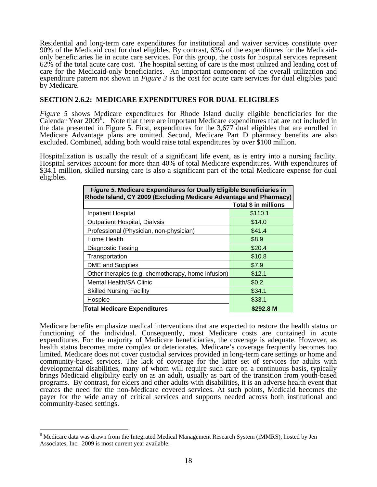Residential and long-term care expenditures for institutional and waiver services constitute over 90% of the Medicaid cost for dual eligibles. By contrast, 63% of the expenditures for the Medicaidonly beneficiaries lie in acute care services. For this group, the costs for hospital services represent 62% of the total acute care cost. The hospital setting of care is the most utilized and leading cost of care for the Medicaid-only beneficiaries. An important component of the overall utilization and expenditure pattern not shown in *Figure 3* is the cost for acute care services for dual eligibles paid by Medicare.

#### **SECTION 2.6.2: MEDICARE EXPENDITURES FOR DUAL ELIGIBLES**

*Figure 5* shows Medicare expenditures for Rhode Island dually eligible beneficiaries for the Calendar Year 2009[8](#page-18-0) . Note that there are important Medicare expenditures that are not included in the data presented in Figure 5. First, expenditures for the 3,677 dual eligibles that are enrolled in Medicare Advantage plans are omitted. Second, Medicare Part D pharmacy benefits are also excluded. Combined, adding both would raise total expenditures by over \$100 million.

Hospitalization is usually the result of a significant life event, as is entry into a nursing facility. Hospital services account for more than 40% of total Medicare expenditures. With expenditures of \$34.1 million, skilled nursing care is also a significant part of the total Medicare expense for dual eligibles.

| <b>Figure 5. Medicare Expenditures for Dually Eligible Beneficiaries in</b><br>Rhode Island, CY 2009 (Excluding Medicare Advantage and Pharmacy) |                             |  |  |  |
|--------------------------------------------------------------------------------------------------------------------------------------------------|-----------------------------|--|--|--|
|                                                                                                                                                  | <b>Total \$ in millions</b> |  |  |  |
| Inpatient Hospital                                                                                                                               | \$110.1                     |  |  |  |
| Outpatient Hospital, Dialysis                                                                                                                    | \$14.0                      |  |  |  |
| Professional (Physician, non-physician)                                                                                                          | \$41.4                      |  |  |  |
| Home Health                                                                                                                                      | \$8.9                       |  |  |  |
| <b>Diagnostic Testing</b>                                                                                                                        | \$20.4                      |  |  |  |
| Transportation                                                                                                                                   | \$10.8                      |  |  |  |
| <b>DME</b> and Supplies                                                                                                                          | \$7.9                       |  |  |  |
| Other therapies (e.g. chemotherapy, home infusion)                                                                                               | \$12.1                      |  |  |  |
| <b>Mental Health/SA Clinic</b>                                                                                                                   | \$0.2                       |  |  |  |
| <b>Skilled Nursing Facility</b>                                                                                                                  | \$34.1                      |  |  |  |
| Hospice                                                                                                                                          | \$33.1                      |  |  |  |
| <b>Total Medicare Expenditures</b><br>\$292.8 M                                                                                                  |                             |  |  |  |

Medicare benefits emphasize medical interventions that are expected to restore the health status or functioning of the individual. Consequently, most Medicare costs are contained in acute expenditures. For the majority of Medicare beneficiaries, the coverage is adequate. However, as health status becomes more complex or deteriorates, Medicare's coverage frequently becomes too limited. Medicare does not cover custodial services provided in long-term care settings or home and community-based services. The lack of coverage for the latter set of services for adults with developmental disabilities, many of whom will require such care on a continuous basis, typically brings Medicaid eligibility early on as an adult, usually as part of the transition from youth-based programs. By contrast, for elders and other adults with disabilities, it is an adverse health event that creates the need for the non-Medicare covered services. At such points, Medicaid becomes the payer for the wide array of critical services and supports needed across both institutional and community-based settings.

 $\overline{a}$ 

<span id="page-18-0"></span><sup>&</sup>lt;sup>8</sup> Medicare data was drawn from the Integrated Medical Management Research System (iMMRS), hosted by Jen Associates, Inc. 2009 is most current year available.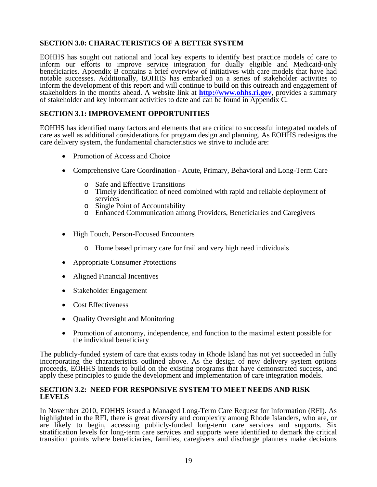# **SECTION 3.0: CHARACTERISTICS OF A BETTER SYSTEM**

EOHHS has sought out national and local key experts to identify best practice models of care to inform our efforts to improve service integration for dually eligible and Medicaid-only beneficiaries. Appendix B contains a brief overview of initiatives with care models that have had notable successes. Additionally, EOHHS has embarked on a series of stakeholder activities to inform the development of this report and will continue to build on this outreach and engagement of stakeholders in the months ahead. A website link at **[http://www.ohhs.ri.gov](http://www.ohhs.ri.gov/)**, provides a summary of stakeholder and key informant activities to date and can be found in Appendix C.

# **SECTION 3.1: IMPROVEMENT OPPORTUNITIES**

EOHHS has identified many factors and elements that are critical to successful integrated models of care as well as additional considerations for program design and planning. As EOHHS redesigns the care delivery system, the fundamental characteristics we strive to include are:

- Promotion of Access and Choice
- Comprehensive Care Coordination Acute, Primary, Behavioral and Long-Term Care
	- o Safe and Effective Transitions
	- o Timely identification of need combined with rapid and reliable deployment of services
	- o Single Point of Accountability
	- o Enhanced Communication among Providers, Beneficiaries and Caregivers
- High Touch, Person-Focused Encounters
	- o Home based primary care for frail and very high need individuals
- Appropriate Consumer Protections
- Aligned Financial Incentives
- Stakeholder Engagement
- Cost Effectiveness
- Quality Oversight and Monitoring
- Promotion of autonomy, independence, and function to the maximal extent possible for the individual beneficiary

The publicly-funded system of care that exists today in Rhode Island has not yet succeeded in fully incorporating the characteristics outlined above. As the design of new delivery system options proceeds, EOHHS intends to build on the existing programs that have demonstrated success, and apply these principles to guide the development and implementation of care integration models.

#### **SECTION 3.2: NEED FOR RESPONSIVE SYSTEM TO MEET NEEDS AND RISK LEVELS**

In November 2010, EOHHS issued a Managed Long-Term Care Request for Information (RFI). As highlighted in the RFI, there is great diversity and complexity among Rhode Islanders, who are, or are likely to begin, accessing publicly-funded long-term care services and supports. Six stratification levels for long-term care services and supports were identified to demark the critical transition points where beneficiaries, families, caregivers and discharge planners make decisions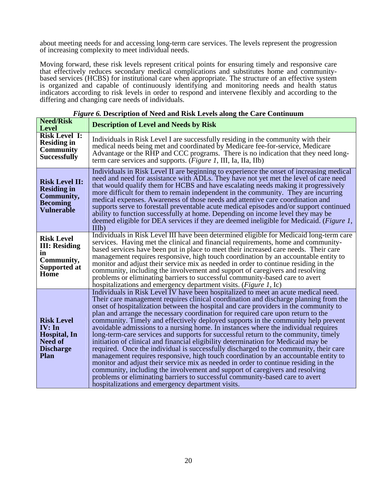about meeting needs for and accessing long-term care services. The levels represent the progression of increasing complexity to meet individual needs.

Moving forward, these risk levels represent critical points for ensuring timely and responsive care that effectively reduces secondary medical complications and substitutes home and communitybased services (HCBS) for institutional care when appropriate. The structure of an effective system is organized and capable of continuously identifying and monitoring needs and health status indicators according to risk levels in order to respond and intervene flexibly and according to the differing and changing care needs of individuals.

| <b>Need/Risk</b><br><b>Level</b>                                                                  | <b>Description of Level and Needs by Risk</b>                                                                                                                                                                                                                                                                                                                                                                                                                                                                                                                                                                                                                                                                                                                                                                                                                                                                                                                                                                                                                                                                                                                                                              |
|---------------------------------------------------------------------------------------------------|------------------------------------------------------------------------------------------------------------------------------------------------------------------------------------------------------------------------------------------------------------------------------------------------------------------------------------------------------------------------------------------------------------------------------------------------------------------------------------------------------------------------------------------------------------------------------------------------------------------------------------------------------------------------------------------------------------------------------------------------------------------------------------------------------------------------------------------------------------------------------------------------------------------------------------------------------------------------------------------------------------------------------------------------------------------------------------------------------------------------------------------------------------------------------------------------------------|
| <b>Risk Level I:</b><br><b>Residing in</b><br><b>Community</b><br><b>Successfully</b>             | Individuals in Risk Level I are successfully residing in the community with their<br>medical needs being met and coordinated by Medicare fee-for-service, Medicare<br>Advantage or the RHP and CCC programs. There is no indication that they need long-<br>term care services and supports. (Figure 1, III, Ia, IIa, IIb)                                                                                                                                                                                                                                                                                                                                                                                                                                                                                                                                                                                                                                                                                                                                                                                                                                                                                 |
| <b>Risk Level II:</b><br><b>Residing in</b><br>Community,<br><b>Becoming</b><br><b>Vulnerable</b> | Individuals in Risk Level II are beginning to experience the onset of increasing medical<br>need and need for assistance with ADLs. They have not yet met the level of care need<br>that would qualify them for HCBS and have escalating needs making it progressively<br>more difficult for them to remain independent in the community. They are incurring<br>medical expenses. Awareness of those needs and attentive care coordination and<br>supports serve to forestall preventable acute medical episodes and/or support continued<br>ability to function successfully at home. Depending on income level they may be<br>deemed eligible for DEA services if they are deemed ineligible for Medicaid. (Figure 1,<br>IIIb)                                                                                                                                                                                                                                                                                                                                                                                                                                                                           |
| <b>Risk Level</b><br><b>III: Residing</b><br>in<br>Community,<br><b>Supported at</b><br>Home      | Individuals in Risk Level III have been determined eligible for Medicaid long-term care<br>services. Having met the clinical and financial requirements, home and community-<br>based services have been put in place to meet their increased care needs. Their care<br>management requires responsive, high touch coordination by an accountable entity to<br>monitor and adjust their service mix as needed in order to continue residing in the<br>community, including the involvement and support of caregivers and resolving<br>problems or eliminating barriers to successful community-based care to avert<br>hospitalizations and emergency department visits. ( <i>Figure 1</i> , Ic)                                                                                                                                                                                                                                                                                                                                                                                                                                                                                                            |
| <b>Risk Level</b><br>IV: In<br>Hospital, In<br><b>Need of</b><br><b>Discharge</b><br><b>Plan</b>  | Individuals in Risk Level IV have been hospitalized to meet an acute medical need.<br>Their care management requires clinical coordination and discharge planning from the<br>onset of hospitalization between the hospital and care providers in the community to<br>plan and arrange the necessary coordination for required care upon return to the<br>community. Timely and effectively deployed supports in the community help prevent<br>avoidable admissions to a nursing home. In instances where the individual requires<br>long-term-care services and supports for successful return to the community, timely<br>initiation of clinical and financial eligibility determination for Medicaid may be<br>required. Once the individual is successfully discharged to the community, their care<br>management requires responsive, high touch coordination by an accountable entity to<br>monitor and adjust their service mix as needed in order to continue residing in the<br>community, including the involvement and support of caregivers and resolving<br>problems or eliminating barriers to successful community-based care to avert<br>hospitalizations and emergency department visits. |

|  |  |  |  |  | Figure 6. Description of Need and Risk Levels along the Care Continuum |  |
|--|--|--|--|--|------------------------------------------------------------------------|--|
|  |  |  |  |  |                                                                        |  |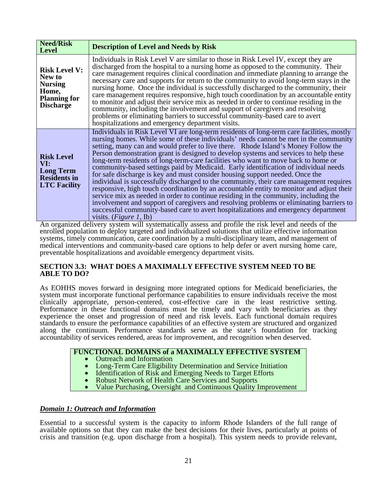| <b>Need/Risk</b><br><b>Level</b>                                                                     | <b>Description of Level and Needs by Risk</b>                                                                                                                                                                                                                                                                                                                                                                                                                                                                                                                                                                                                                                                                                                                                                                                                                                                                                                                                                                                                                                                                        |
|------------------------------------------------------------------------------------------------------|----------------------------------------------------------------------------------------------------------------------------------------------------------------------------------------------------------------------------------------------------------------------------------------------------------------------------------------------------------------------------------------------------------------------------------------------------------------------------------------------------------------------------------------------------------------------------------------------------------------------------------------------------------------------------------------------------------------------------------------------------------------------------------------------------------------------------------------------------------------------------------------------------------------------------------------------------------------------------------------------------------------------------------------------------------------------------------------------------------------------|
| <b>Risk Level V:</b><br>New to<br><b>Nursing</b><br>Home,<br><b>Planning for</b><br><b>Discharge</b> | Individuals in Risk Level V are similar to those in Risk Level IV, except they are<br>discharged from the hospital to a nursing home as opposed to the community. Their<br>care management requires clinical coordination and immediate planning to arrange the<br>necessary care and supports for return to the community to avoid long-term stays in the<br>nursing home. Once the individual is successfully discharged to the community, their<br>care management requires responsive, high touch coordination by an accountable entity<br>to monitor and adjust their service mix as needed in order to continue residing in the<br>community, including the involvement and support of caregivers and resolving<br>problems or eliminating barriers to successful community-based care to avert<br>hospitalizations and emergency department visits.                                                                                                                                                                                                                                                           |
| <b>Risk Level</b><br>VI:<br><b>Long Term</b><br><b>Residents in</b><br><b>LTC Facility</b>           | Individuals in Risk Level VI are long-term residents of long-term care facilities, mostly<br>nursing homes. While some of these individuals' needs cannot be met in the community<br>setting, many can and would prefer to live there. Rhode Island's Money Follow the<br>Person demonstration grant is designed to develop systems and services to help these<br>long-term residents of long-term-care facilities who want to move back to home or<br>community-based settings paid by Medicaid. Early identification of individual needs<br>for safe discharge is key and must consider housing support needed. Once the<br>individual is successfully discharged to the community, their care management requires<br>responsive, high touch coordination by an accountable entity to monitor and adjust their<br>service mix as needed in order to continue residing in the community, including the<br>involvement and support of caregivers and resolving problems or eliminating barriers to<br>successful community-based care to avert hospitalizations and emergency department<br>visits. $(Figure 1, Ib)$ |

An organized delivery system will systematically assess and profile the risk level and needs of the enrolled population to deploy targeted and individualized solutions that utilize effective information systems, timely communication, care coordination by a multi-disciplinary team, and management of medical interventions and community-based care options to help defer or avert nursing home care, preventable hospitalizations and avoidable emergency department visits.

#### **SECTION 3.3: WHAT DOES A MAXIMALLY EFFECTIVE SYSTEM NEED TO BE ABLE TO DO?**

As EOHHS moves forward in designing more integrated options for Medicaid beneficiaries, the system must incorporate functional performance capabilities to ensure individuals receive the most clinically appropriate, person-centered, cost-effective care in the least restrictive setting. Performance in these functional domains must be timely and vary with beneficiaries as they experience the onset and progression of need and risk levels. Each functional domain requires standards to ensure the performance capabilities of an effective system are structured and organized along the continuum. Performance standards serve as the state's foundation for tracking accountability of services rendered, areas for improvement, and recognition when deserved.

# **FUNCTIONAL DOMAINS of a MAXIMALLY EFFECTIVE SYSTEM**<br>
• Outreach and Information<br>
• Long-Term Care Eligibility Determination and Service Initiation<br>
• Identification of Risk and Emerging Needs to Target Efforts<br>
• Robust N

- 
- 
- 
- 
- 

# *Domain 1: Outreach and Information*

Essential to a successful system is the capacity to inform Rhode Islanders of the full range of available options so that they can make the best decisions for their lives, particularly at points of crisis and transition (e.g. upon discharge from a hospital). This system needs to provide relevant,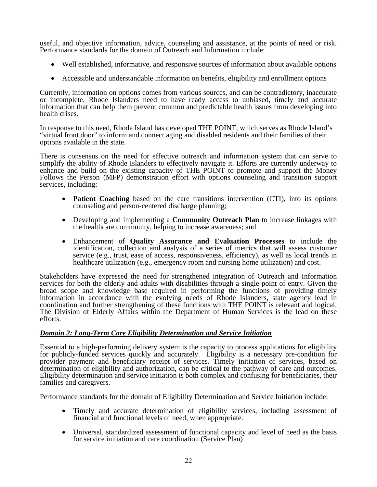useful, and objective information, advice, counseling and assistance, at the points of need or risk. Performance standards for the domain of Outreach and Information include:

- Well established, informative, and responsive sources of information about available options
- Accessible and understandable information on benefits, eligibility and enrollment options

Currently, information on options comes from various sources, and can be contradictory, inaccurate or incomplete. Rhode Islanders need to have ready access to unbiased, timely and accurate information that can help them prevent common and predictable health issues from developing into health crises.

In response to this need, Rhode Island has developed THE POINT, which serves as Rhode Island's "virtual front door" to inform and connect aging and disabled residents and their families of their options available in the state.

There is consensus on the need for effective outreach and information system that can serve to simplify the ability of Rhode Islanders to effectively navigate it. Efforts are currently underway to enhance and build on the existing capacity of THE POINT to promote and support the Money Follows the Person (MFP) demonstration effort with options counseling and transition support services, including:

- **Patient Coaching** based on the care transitions intervention (CTI), into its options counseling and person-centered discharge planning;
- Developing and implementing a **Community Outreach Plan** to increase linkages with the healthcare community, helping to increase awareness; and
- Enhancement of **Quality Assurance and Evaluation Processes** to include the identification, collection and analysis of a series of metrics that will assess customer service (e.g., trust, ease of access, responsiveness, efficiency), as well as local trends in healthcare utilization (e.g., emergency room and nursing home utilization) and cost.

Stakeholders have expressed the need for strengthened integration of Outreach and Information services for both the elderly and adults with disabilities through a single point of entry. Given the broad scope and knowledge base required in performing the functions of providing timely information in accordance with the evolving needs of Rhode Islanders, state agency lead in coordination and further strengthening of these functions with THE POINT is relevant and logical. The Division of Elderly Affairs within the Department of Human Services is the lead on these efforts.

# *Domain 2: Long-Term Care Eligibility Determination and Service Initiation*

Essential to a high-performing delivery system is the capacity to process applications for eligibility for publicly-funded services quickly and accurately. Eligibility is a necessary pre-condition for provider payment and beneficiary receipt of services. Timely initiation of services, based on determination of eligibility and authorization, can be critical to the pathway of care and outcomes. Eligibility determination and service initiation is both complex and confusing for beneficiaries, their families and caregivers.

Performance standards for the domain of Eligibility Determination and Service Initiation include:

- Timely and accurate determination of eligibility services, including assessment of financial and functional levels of need, when appropriate.
- Universal, standardized assessment of functional capacity and level of need as the basis for service initiation and care coordination (Service Plan)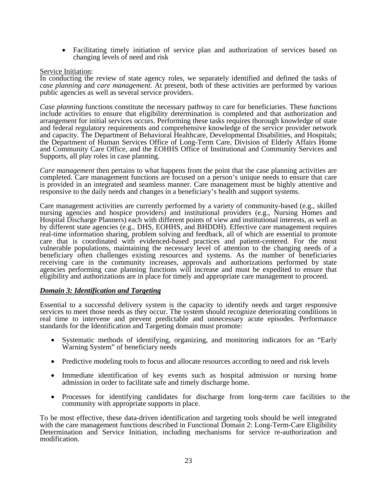• Facilitating timely initiation of service plan and authorization of services based on changing levels of need and risk

#### Service Initiation:

In conducting the review of state agency roles, we separately identified and defined the tasks of *case planning* and *care management*. At present, both of these activities are performed by various public agencies as well as several service providers.

*Case planning* functions constitute the necessary pathway to care for beneficiaries. These functions include activities to ensure that eligibility determination is completed and that authorization and arrangement for initial services occurs. Performing these tasks requires thorough knowledge of state and federal regulatory requirements and comprehensive knowledge of the service provider network and capacity. The Department of Behavioral Healthcare, Developmental Disabilities, and Hospitals; the Department of Human Services Office of Long-Term Care, Division of Elderly Affairs Home and Community Care Office, and the EOHHS Office of Institutional and Community Services and Supports, all play roles in case planning.

*Care management* then pertains to what happens from the point that the case planning activities are completed. Care management functions are focused on a person's unique needs to ensure that care is provided in an integrated and seamless manner. Care management must be highly attentive and responsive to the daily needs and changes in a beneficiary's health and support systems.

Care management activities are currently performed by a variety of community-based (e.g., skilled nursing agencies and hospice providers) and institutional providers (e.g., Nursing Homes and Hospital Discharge Planners) each with different points of view and institutional interests, as well as by different state agencies (e.g., DHS, EOHHS, and BHDDH). Effective care management requires real-time information sharing, problem solving and feedback, all of which are essential to promote care that is coordinated with evidenced-based practices and patient-centered. For the most vulnerable populations, maintaining the necessary level of attention to the changing needs of a beneficiary often challenges existing resources and systems. As the number of beneficiaries receiving care in the community increases, approvals and authorizations performed by state agencies performing case planning functions will increase and must be expedited to ensure that eligibility and authorizations are in place for timely and appropriate care management to proceed.

#### *Domain 3: Identification and Targeting*

Essential to a successful delivery system is the capacity to identify needs and target responsive services to meet those needs as they occur. The system should recognize deteriorating conditions in real time to intervene and prevent predictable and unnecessary acute episodes. Performance standards for the Identification and Targeting domain must promote:

- Systematic methods of identifying, organizing, and monitoring indicators for an "Early Warning System" of beneficiary needs
- Predictive modeling tools to focus and allocate resources according to need and risk levels
- Immediate identification of key events such as hospital admission or nursing home admission in order to facilitate safe and timely discharge home.
- Processes for identifying candidates for discharge from long-term care facilities to the community with appropriate supports in place.

To be most effective, these data-driven identification and targeting tools should be well integrated with the care management functions described in Functional Domain 2: Long-Term-Care Eligibility Determination and Service Initiation, including mechanisms for service re-authorization and modification.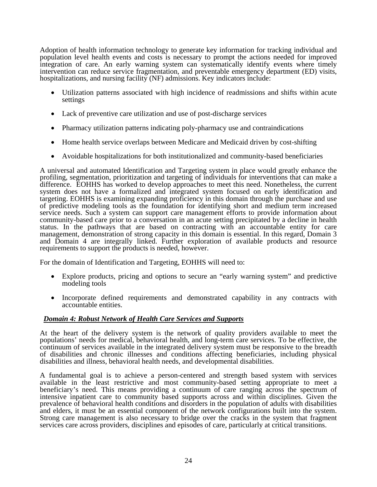Adoption of health information technology to generate key information for tracking individual and population level health events and costs is necessary to prompt the actions needed for improved integration of care. An early warning system can systematically identify events where timely intervention can reduce service fragmentation, and preventable emergency department (ED) visits, hospitalizations, and nursing facility (NF) admissions. Key indicators include:

- Utilization patterns associated with high incidence of readmissions and shifts within acute settings
- Lack of preventive care utilization and use of post-discharge services
- Pharmacy utilization patterns indicating poly-pharmacy use and contraindications
- Home health service overlaps between Medicare and Medicaid driven by cost-shifting
- Avoidable hospitalizations for both institutionalized and community-based beneficiaries

A universal and automated Identification and Targeting system in place would greatly enhance the profiling, segmentation, prioritization and targeting of individuals for interventions that can make a difference. EOHHS has worked to develop approaches to meet this need. Nonetheless, the current system does not have a formalized and integrated system focused on early identification and targeting. EOHHS is examining expanding proficiency in this domain through the purchase and use of predictive modeling tools as the foundation for identifying short and medium term increased service needs. Such a system can support care management efforts to provide information about community-based care prior to a conversation in an acute setting precipitated by a decline in health status. In the pathways that are based on contracting with an accountable entity for care management, demonstration of strong capacity in this domain is essential. In this regard, Domain 3 and Domain 4 are integrally linked. Further exploration of available products and resource requirements to support the products is needed, however.

For the domain of Identification and Targeting, EOHHS will need to:

- Explore products, pricing and options to secure an "early warning system" and predictive modeling tools
- Incorporate defined requirements and demonstrated capability in any contracts with accountable entities.

# *Domain 4: Robust Network of Health Care Services and Supports*

At the heart of the delivery system is the network of quality providers available to meet the populations' needs for medical, behavioral health, and long-term care services. To be effective, the continuum of services available in the integrated delivery system must be responsive to the breadth of disabilities and chronic illnesses and conditions affecting beneficiaries, including physical disabilities and illness, behavioral health needs, and developmental disabilities.

A fundamental goal is to achieve a person-centered and strength based system with services available in the least restrictive and most community-based setting appropriate to meet a beneficiary's need. This means providing a continuum of care ranging across the spectrum of intensive inpatient care to community based supports across and within disciplines. Given the prevalence of behavioral health conditions and disorders in the population of adults with disabilities and elders, it must be an essential component of the network configurations built into the system. Strong care management is also necessary to bridge over the cracks in the system that fragment services care across providers, disciplines and episodes of care, particularly at critical transitions.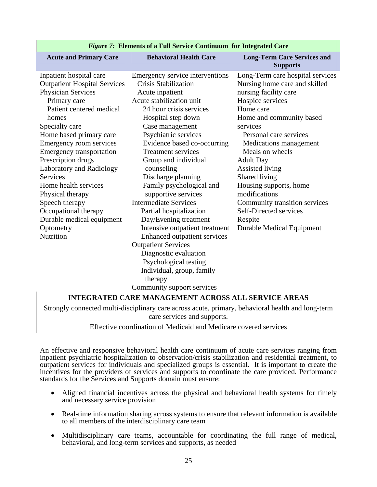| <b>Acute and Primary Care</b>       | <b>Behavioral Health Care</b>       | <b>Long-Term Care Services and</b><br><b>Supports</b> |
|-------------------------------------|-------------------------------------|-------------------------------------------------------|
| Inpatient hospital care             | Emergency service interventions     | Long-Term care hospital services                      |
| <b>Outpatient Hospital Services</b> | <b>Crisis Stabilization</b>         | Nursing home care and skilled                         |
| Physician Services                  | Acute inpatient                     | nursing facility care                                 |
| Primary care                        | Acute stabilization unit            | Hospice services                                      |
| Patient centered medical            | 24 hour crisis services             | Home care                                             |
| homes                               | Hospital step down                  | Home and community based                              |
| Specialty care                      | Case management                     | services                                              |
| Home based primary care             | Psychiatric services                | Personal care services                                |
| Emergency room services             | Evidence based co-occurring         | Medications management                                |
| <b>Emergency transportation</b>     | <b>Treatment services</b>           | Meals on wheels                                       |
| Prescription drugs                  | Group and individual                | <b>Adult Day</b>                                      |
| Laboratory and Radiology            | counseling                          | Assisted living                                       |
| <b>Services</b>                     | Discharge planning                  | Shared living                                         |
| Home health services                | Family psychological and            | Housing supports, home                                |
| Physical therapy                    | supportive services                 | modifications                                         |
| Speech therapy                      | <b>Intermediate Services</b>        | Community transition services                         |
| Occupational therapy                | Partial hospitalization             | Self-Directed services                                |
| Durable medical equipment           | Day/Evening treatment               | Respite                                               |
| Optometry                           | Intensive outpatient treatment      | Durable Medical Equipment                             |
| Nutrition                           | <b>Enhanced outpatient services</b> |                                                       |
|                                     | <b>Outpatient Services</b>          |                                                       |
|                                     | Diagnostic evaluation               |                                                       |
|                                     | Psychological testing               |                                                       |
|                                     | Individual, group, family           |                                                       |
|                                     | therapy                             |                                                       |
|                                     | Community support services          |                                                       |

#### *Figure 7:* **Elements of a Full Service Continuum for Integrated Care**

#### **INTEGRATED CARE MANAGEMENT ACROSS ALL SERVICE AREAS**

Strongly connected multi-disciplinary care across acute, primary, behavioral health and long-term care services and supports.

Effective coordination of Medicaid and Medicare covered services

An effective and responsive behavioral health care continuum of acute care services ranging from inpatient psychiatric hospitalization to observation/crisis stabilization and residential treatment, to outpatient services for individuals and specialized groups is essential. It is important to create the incentives for the providers of services and supports to coordinate the care provided. Performance standards for the Services and Supports domain must ensure:

- Aligned financial incentives across the physical and behavioral health systems for timely and necessary service provision
- Real-time information sharing across systems to ensure that relevant information is available to all members of the interdisciplinary care team
- Multidisciplinary care teams, accountable for coordinating the full range of medical, behavioral, and long-term services and supports, as needed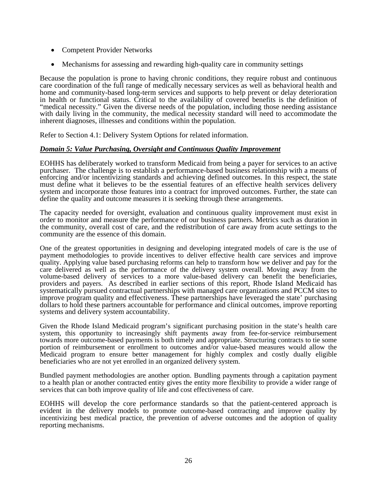- Competent Provider Networks
- Mechanisms for assessing and rewarding high-quality care in community settings

Because the population is prone to having chronic conditions, they require robust and continuous care coordination of the full range of medically necessary services as well as behavioral health and home and community-based long-term services and supports to help prevent or delay deterioration in health or functional status. Critical to the availability of covered benefits is the definition of "medical necessity." Given the diverse needs of the population, including those needing assistance with daily living in the community, the medical necessity standard will need to accommodate the inherent diagnoses, illnesses and conditions within the population.

Refer to Section 4.1: Delivery System Options for related information.

# *Domain 5: Value Purchasing, Oversight and Continuous Quality Improvement*

EOHHS has deliberately worked to transform Medicaid from being a payer for services to an active purchaser. The challenge is to establish a performance-based business relationship with a means of enforcing and/or incentivizing standards and achieving defined outcomes. In this respect, the state must define what it believes to be the essential features of an effective health services delivery system and incorporate those features into a contract for improved outcomes. Further, the state can define the quality and outcome measures it is seeking through these arrangements.

The capacity needed for oversight, evaluation and continuous quality improvement must exist in order to monitor and measure the performance of our business partners. Metrics such as duration in the community, overall cost of care, and the redistribution of care away from acute settings to the community are the essence of this domain.

One of the greatest opportunities in designing and developing integrated models of care is the use of payment methodologies to provide incentives to deliver effective health care services and improve quality. Applying value based purchasing reforms can help to transform how we deliver and pay for the care delivered as well as the performance of the delivery system overall. Moving away from the volume-based delivery of services to a more value-based delivery can benefit the beneficiaries, providers and payers. As described in earlier sections of this report, Rhode Island Medicaid has systematically pursued contractual partnerships with managed care organizations and PCCM sites to improve program quality and effectiveness. These partnerships have leveraged the state' purchasing dollars to hold these partners accountable for performance and clinical outcomes, improve reporting systems and delivery system accountability.

Given the Rhode Island Medicaid program's significant purchasing position in the state's health care system, this opportunity to increasingly shift payments away from fee-for-service reimbursement towards more outcome-based payments is both timely and appropriate. Structuring contracts to tie some portion of reimbursement or enrollment to outcomes and/or value-based measures would allow the Medicaid program to ensure better management for highly complex and costly dually eligible beneficiaries who are not yet enrolled in an organized delivery system.

Bundled payment methodologies are another option. Bundling payments through a capitation payment to a health plan or another contracted entity gives the entity more flexibility to provide a wider range of services that can both improve quality of life and cost effectiveness of care.

EOHHS will develop the core performance standards so that the patient-centered approach is evident in the delivery models to promote outcome-based contracting and improve quality by incentivizing best medical practice, the prevention of adverse outcomes and the adoption of quality reporting mechanisms.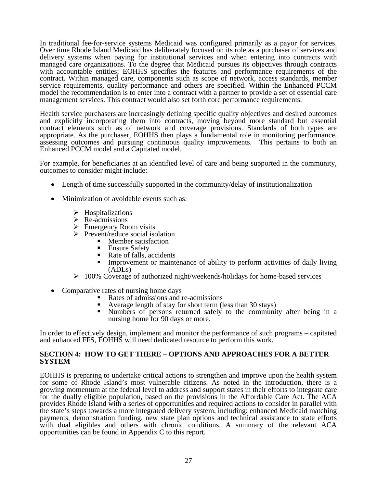In traditional fee-for-service systems Medicaid was configured primarily as a payor for services. Over time Rhode Island Medicaid has deliberately focused on its role as a purchaser of services and delivery systems when paying for institutional services and when entering into contracts with managed care organizations. To the degree that Medicaid pursues its objectives through contracts with accountable entities; EOHHS specifies the features and performance requirements of the contract. Within managed care, components such as scope of network, access standards, member service requirements, quality performance and others are specified. Within the Enhanced PCCM model the recommendation is to enter into a contract with a partner to provide a set of essential care management services. This contract would also set forth core performance requirements.

Health service purchasers are increasingly defining specific quality objectives and desired outcomes and explicitly incorporating them into contracts, moving beyond more standard but essential contract elements such as of network and coverage provisions. Standards of both types are appropriate. As the purchaser, EOHHS then plays a fundamental role in monitoring performance, assessing outcomes and pursuing continuous quality improvements. This pertains to both an Enhanced PCCM model and a Capitated model.

For example, for beneficiaries at an identified level of care and being supported in the community, outcomes to consider might include:

- Length of time successfully supported in the community/delay of institutionalization
- Minimization of avoidable events such as:
	- $\triangleright$  Hospitalizations
	- $\triangleright$  Re-admissions
	-
	- $\geq$  Emergency Room visits<br> $\geq$  Prevent/reduce social isolation
		- -
			-
- Member satisfaction<br>
 Ensure Safety<br>
 Rate of falls, accidents<br>
 Improvement or maintenance of ability to perform activities of daily living (ADLs)
	- $\geq 100\%$  Coverage of authorized night/weekends/holidays for home-based services
- -
	-
	- Rates of nursing home days<br>
	 Rates of admissions and re-admissions<br>
	 Average length of stay for short term (less than 30 stays)<br>
	 Numbers of persons returned safely to the community after being in a nursing home for 90 days or more.

In order to effectively design, implement and monitor the performance of such programs – capitated and enhanced FFS, EOHHS will need dedicated resource to perform this work.

#### **SECTION 4: HOW TO GET THERE – OPTIONS AND APPROACHES FOR A BETTER SYSTEM**

EOHHS is preparing to undertake critical actions to strengthen and improve upon the health system for some of Rhode Island's most vulnerable citizens. As noted in the introduction, there is a growing momentum at the federal level to address and support states in their efforts to integrate care for the dually eligible population, based on the provisions in the Affordable Care Act. The ACA provides Rhode Island with a series of opportunities and required actions to consider in parallel with the state's steps towards a more integrated delivery system, including: enhanced Medicaid matching payments, demonstration funding, new state plan options and technical assistance to state efforts with dual eligibles and others with chronic conditions. A summary of the relevant ACA opportunities can be found in Appendix C to this report.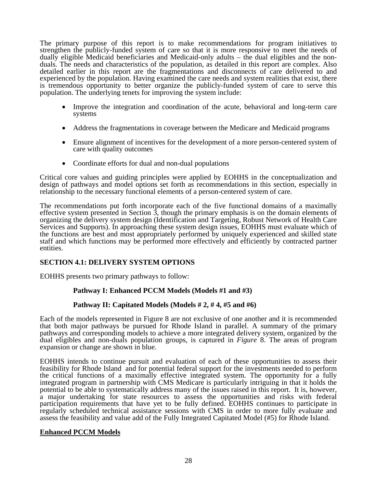The primary purpose of this report is to make recommendations for program initiatives to strengthen the publicly-funded system of care so that it is more responsive to meet the needs of dually eligible Medicaid beneficiaries and Medicaid-only adults – the dual eligibles and the nonduals. The needs and characteristics of the population, as detailed in this report are complex. Also detailed earlier in this report are the fragmentations and disconnects of care delivered to and experienced by the population. Having examined the care needs and system realities that exist, there is tremendous opportunity to better organize the publicly-funded system of care to serve this population. The underlying tenets for improving the system include:

- Improve the integration and coordination of the acute, behavioral and long-term care systems
- Address the fragmentations in coverage between the Medicare and Medicaid programs
- Ensure alignment of incentives for the development of a more person-centered system of care with quality outcomes
- Coordinate efforts for dual and non-dual populations

Critical core values and guiding principles were applied by EOHHS in the conceptualization and design of pathways and model options set forth as recommendations in this section, especially in relationship to the necessary functional elements of a person-centered system of care.

The recommendations put forth incorporate each of the five functional domains of a maximally effective system presented in Section 3, though the primary emphasis is on the domain elements of organizing the delivery system design (Identification and Targeting, Robust Network of Health Care Services and Supports). In approaching these system design issues, EOHHS must evaluate which of the functions are best and most appropriately performed by uniquely experienced and skilled state staff and which functions may be performed more effectively and efficiently by contracted partner entities.

# **SECTION 4.1: DELIVERY SYSTEM OPTIONS**

EOHHS presents two primary pathways to follow:

# **Pathway I: Enhanced PCCM Models (Models #1 and #3)**

# **Pathway II: Capitated Models (Models # 2, # 4, #5 and #6)**

Each of the models represented in Figure 8 are not exclusive of one another and it is recommended that both major pathways be pursued for Rhode Island in parallel. A summary of the primary pathways and corresponding models to achieve a more integrated delivery system, organized by the dual eligibles and non-duals population groups, is captured in *Figure* 8. The areas of program expansion or change are shown in blue.

EOHHS intends to continue pursuit and evaluation of each of these opportunities to assess their feasibility for Rhode Island and for potential federal support for the investments needed to perform the critical functions of a maximally effective integrated system. The opportunity for a fully integrated program in partnership with CMS Medicare is particularly intriguing in that it holds the potential to be able to systematically address many of the issues raised in this report. It is, however, a major undertaking for state resources to assess the opportunities and risks with federal participation requirements that have yet to be fully defined. EOHHS continues to participate in regularly scheduled technical assistance sessions with CMS in order to more fully evaluate and assess the feasibility and value add of the Fully Integrated Capitated Model (#5) for Rhode Island.

#### **Enhanced PCCM Models**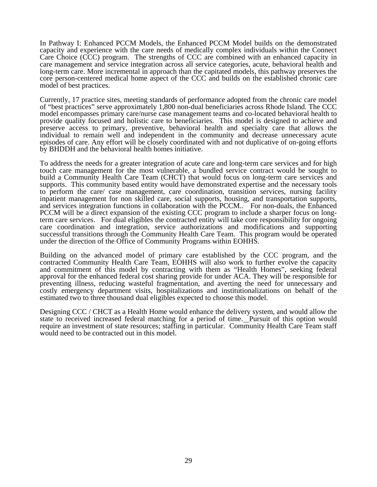In Pathway I: Enhanced PCCM Models, the Enhanced PCCM Model builds on the demonstrated capacity and experience with the care needs of medically complex individuals within the Connect Care Choice (CCC) program. The strengths of CCC are combined with an enhanced capacity in care management and service integration across all service categories, acute, behavioral health and long-term care. More incremental in approach than the capitated models, this pathway preserves the core person-centered medical home aspect of the CCC and builds on the established chronic care model of best practices.

Currently, 17 practice sites, meeting standards of performance adopted from the chronic care model of "best practices" serve approximately 1,800 non-dual beneficiaries across Rhode Island. The CCC model encompasses primary care/nurse case management teams and co-located behavioral health to provide quality focused and holistic care to beneficiaries. This model is designed to achieve and preserve access to primary, preventive, behavioral health and specialty care that allows the individual to remain well and independent in the community and decrease unnecessary acute episodes of care. Any effort will be closely coordinated with and not duplicative of on-going efforts by BHDDH and the behavioral health homes initiative.

To address the needs for a greater integration of acute care and long-term care services and for high touch care management for the most vulnerable, a bundled service contract would be sought to build a Community Health Care Team (CHCT) that would focus on long-term care services and supports. This community based entity would have demonstrated expertise and the necessary tools to perform the care/ case management, care coordination, transition services, nursing facility inpatient management for non skilled care, social supports, housing, and transportation supports, and services integration functions in collaboration with the PCCM.. For non-duals, the Enhanced PCCM will be a direct expansion of the existing CCC program to include a sharper focus on longterm care services. For dual eligibles the contracted entity will take core responsibility for ongoing care coordination and integration, service authorizations and modifications and supporting successful transitions through the Community Health Care Team. This program would be operated under the direction of the Office of Community Programs within EOHHS.

Building on the advanced model of primary care established by the CCC program, and the contracted Community Health Care Team, EOHHS will also work to further evolve the capacity and commitment of this model by contracting with them as "Health Homes", seeking federal approval for the enhanced federal cost sharing provide for under ACA. They will be responsible for preventing illness, reducing wasteful fragmentation, and averting the need for unnecessary and costly emergency department visits, hospitalizations and institutionalizations on behalf of the estimated two to three thousand dual eligibles expected to choose this model.

Designing CCC / CHCT as a Health Home would enhance the delivery system, and would allow the state to received increased federal matching for a period of time. Pursuit of this option would require an investment of state resources; staffing in particular. Community Health Care Team staff would need to be contracted out in this model.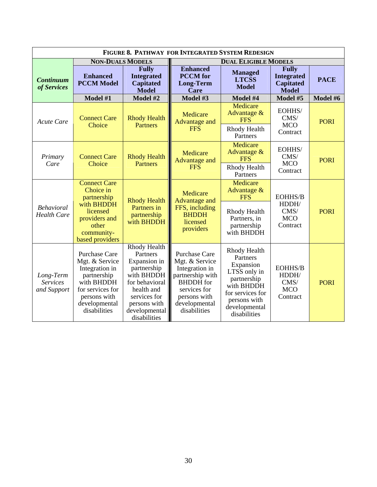| FIGURE 8. PATHWAY FOR INTEGRATED SYSTEM REDESIGN |                                                                                                                                                            |                                                                                                                                                                        |                                                                                                                                                            |                                                                                                                                                         |                                                                       |             |                              |             |
|--------------------------------------------------|------------------------------------------------------------------------------------------------------------------------------------------------------------|------------------------------------------------------------------------------------------------------------------------------------------------------------------------|------------------------------------------------------------------------------------------------------------------------------------------------------------|---------------------------------------------------------------------------------------------------------------------------------------------------------|-----------------------------------------------------------------------|-------------|------------------------------|-------------|
| <b>NON-DUALS MODELS</b>                          |                                                                                                                                                            |                                                                                                                                                                        | <b>DUAL ELIGIBLE MODELS</b>                                                                                                                                |                                                                                                                                                         |                                                                       |             |                              |             |
| <b>Continuum</b><br>of Services                  | <b>Enhanced</b><br><b>PCCM Model</b>                                                                                                                       | <b>Fully</b><br><b>Integrated</b><br><b>Capitated</b><br><b>Model</b>                                                                                                  | <b>Enhanced</b><br><b>PCCM</b> for<br><b>Long-Term</b><br>Care                                                                                             | <b>Managed</b><br><b>LTCSS</b><br><b>Model</b>                                                                                                          | <b>Fully</b><br><b>Integrated</b><br><b>Capitated</b><br><b>Model</b> | <b>PACE</b> |                              |             |
|                                                  | Model #1                                                                                                                                                   | Model #2                                                                                                                                                               | Model #3                                                                                                                                                   | Model #4                                                                                                                                                | Model #5                                                              | Model #6    |                              |             |
| <b>Acute Care</b>                                | <b>Connect Care</b><br>Choice                                                                                                                              | <b>Rhody Health</b><br><b>Partners</b>                                                                                                                                 | Medicare                                                                                                                                                   |                                                                                                                                                         | Medicare<br>Advantage &<br><b>FFS</b><br><b>Advantage and</b>         |             | EOHHS/<br>CMS/<br><b>MCO</b> | <b>PORI</b> |
|                                                  |                                                                                                                                                            |                                                                                                                                                                        | <b>FFS</b>                                                                                                                                                 | Rhody Health<br>Partners                                                                                                                                | Contract                                                              |             |                              |             |
| Primary                                          | <b>Connect Care</b><br>Choice                                                                                                                              | <b>Rhody Health</b><br><b>Partners</b>                                                                                                                                 | Medicare<br><b>Advantage and</b>                                                                                                                           | Medicare<br>Advantage &<br><b>FFS</b>                                                                                                                   | EOHHS/<br>CMS/<br><b>MCO</b>                                          | <b>PORI</b> |                              |             |
| Care                                             |                                                                                                                                                            |                                                                                                                                                                        | <b>FFS</b>                                                                                                                                                 | Rhody Health<br>Partners                                                                                                                                | Contract                                                              |             |                              |             |
|                                                  | <b>Connect Care</b><br>Choice in<br>partnership                                                                                                            | <b>Rhody Health</b>                                                                                                                                                    |                                                                                                                                                            | Medicare<br>Advantage &<br><b>FFS</b>                                                                                                                   | EOHHS/B                                                               |             |                              |             |
| <b>Behavioral</b><br><b>Health Care</b>          | with <b>BHDDH</b><br>licensed<br>providers and<br>other<br>community-<br>based providers                                                                   | Partners in<br>partnership<br>with <b>BHDDH</b>                                                                                                                        | <b>Advantage and</b><br>FFS, including<br><b>BHDDH</b><br>licensed<br>providers                                                                            | Rhody Health<br>Partners, in<br>partnership<br>with BHDDH                                                                                               | HDDH/<br>CMS/<br><b>MCO</b><br>Contract                               | <b>PORI</b> |                              |             |
| Long-Term<br><b>Services</b><br>and Support      | <b>Purchase Care</b><br>Mgt. & Service<br>Integration in<br>partnership<br>with BHDDH<br>for services for<br>persons with<br>developmental<br>disabilities | Rhody Health<br>Partners<br>Expansion in<br>partnership<br>with BHDDH<br>for behavioral<br>health and<br>services for<br>persons with<br>developmental<br>disabilities | Purchase Care<br>Mgt. & Service<br>Integration in<br>partnership with<br><b>BHDDH</b> for<br>services for<br>persons with<br>developmental<br>disabilities | Rhody Health<br>Partners<br>Expansion<br>LTSS only in<br>partnership<br>with BHDDH<br>for services for<br>persons with<br>developmental<br>disabilities | <b>EOHHS/B</b><br>HDDH/<br>CMS/<br><b>MCO</b><br>Contract             | <b>PORI</b> |                              |             |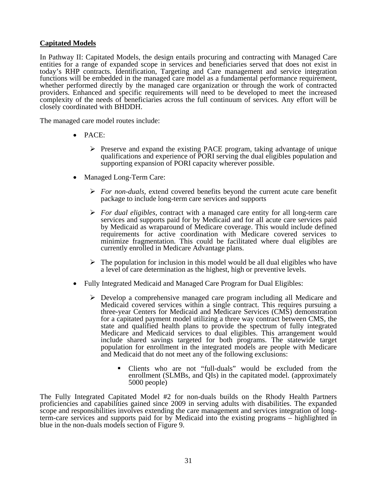# **Capitated Models**

In Pathway II: Capitated Models, the design entails procuring and contracting with Managed Care entities for a range of expanded scope in services and beneficiaries served that does not exist in today's RHP contracts. Identification, Targeting and Care management and service integration functions will be embedded in the managed care model as a fundamental performance requirement, whether performed directly by the managed care organization or through the work of contracted providers. Enhanced and specific requirements will need to be developed to meet the increased complexity of the needs of beneficiaries across the full continuum of services. Any effort will be closely coordinated with BHDDH.

The managed care model routes include:

- PACE:
	- ¾ Preserve and expand the existing PACE program, taking advantage of unique qualifications and experience of PORI serving the dual eligibles population and supporting expansion of PORI capacity wherever possible.
- Managed Long-Term Care:
	- ¾ *For non-duals,* extend covered benefits beyond the current acute care benefit package to include long-term care services and supports
	- ¾ *For dual eligibles,* contract with a managed care entity for all long-term care services and supports paid for by Medicaid and for all acute care services paid by Medicaid as wraparound of Medicare coverage. This would include defined requirements for active coordination with Medicare covered services to minimize fragmentation. This could be facilitated where dual eligibles are currently enrolled in Medicare Advantage plans.
	- $\triangleright$  The population for inclusion in this model would be all dual eligibles who have a level of care determination as the highest, high or preventive levels.
- Fully Integrated Medicaid and Managed Care Program for Dual Eligibles:
	- $\triangleright$  Develop a comprehensive managed care program including all Medicare and Medicaid covered services within a single contract. This requires pursuing a three-year Centers for Medicaid and Medicare Services (CMS) demonstration for a capitated payment model utilizing a three way contract between CMS, the state and qualified health plans to provide the spectrum of fully integrated Medicare and Medicaid services to dual eligibles. This arrangement would include shared savings targeted for both programs. The statewide target population for enrollment in the integrated models are people with Medicare and Medicaid that do not meet any of the following exclusions:
		- Clients who are not "full-duals" would be excluded from the enrollment (SLMBs, and QIs) in the capitated model. (approximately 5000 people)

The Fully Integrated Capitated Model #2 for non-duals builds on the Rhody Health Partners proficiencies and capabilities gained since 2009 in serving adults with disabilities. The expanded scope and responsibilities involves extending the care management and services integration of longterm-care services and supports paid for by Medicaid into the existing programs – highlighted in blue in the non-duals models section of Figure 9.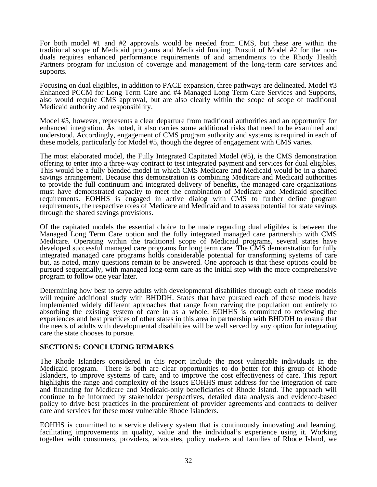For both model #1 and #2 approvals would be needed from CMS, but these are within the traditional scope of Medicaid programs and Medicaid funding. Pursuit of Model #2 for the nonduals requires enhanced performance requirements of and amendments to the Rhody Health Partners program for inclusion of coverage and management of the long-term care services and supports.

Focusing on dual eligibles, in addition to PACE expansion, three pathways are delineated. Model #3 Enhanced PCCM for Long Term Care and #4 Managed Long Term Care Services and Supports, also would require CMS approval, but are also clearly within the scope of scope of traditional Medicaid authority and responsibility.

Model #5, however, represents a clear departure from traditional authorities and an opportunity for enhanced integration. As noted, it also carries some additional risks that need to be examined and understood. Accordingly, engagement of CMS program authority and systems is required in each of these models, particularly for Model #5, though the degree of engagement with CMS varies.

The most elaborated model, the Fully Integrated Capitated Model (#5), is the CMS demonstration offering to enter into a three-way contract to test integrated payment and services for dual eligibles. This would be a fully blended model in which CMS Medicare and Medicaid would be in a shared savings arrangement. Because this demonstration is combining Medicare and Medicaid authorities to provide the full continuum and integrated delivery of benefits, the managed care organizations must have demonstrated capacity to meet the combination of Medicare and Medicaid specified requirements. EOHHS is engaged in active dialog with CMS to further define program requirements, the respective roles of Medicare and Medicaid and to assess potential for state savings through the shared savings provisions.

Of the capitated models the essential choice to be made regarding dual eligibles is between the Managed Long Term Care option and the fully integrated managed care partnership with CMS Medicare. Operating within the traditional scope of Medicaid programs, several states have developed successful managed care programs for long term care. The CMS demonstration for fully integrated managed care programs holds considerable potential for transforming systems of care but, as noted, many questions remain to be answered. One approach is that these options could be pursued sequentially, with managed long-term care as the initial step with the more comprehensive program to follow one year later.

Determining how best to serve adults with developmental disabilities through each of these models will require additional study with BHDDH. States that have pursued each of these models have implemented widely different approaches that range from carving the population out entirely to absorbing the existing system of care in as a whole. EOHHS is committed to reviewing the experiences and best practices of other states in this area in partnership with BHDDH to ensure that the needs of adults with developmental disabilities will be well served by any option for integrating care the state chooses to pursue.

#### **SECTION 5: CONCLUDING REMARKS**

The Rhode Islanders considered in this report include the most vulnerable individuals in the Medicaid program. There is both are clear opportunities to do better for this group of Rhode Islanders, to improve systems of care, and to improve the cost effectiveness of care. This report highlights the range and complexity of the issues EOHHS must address for the integration of care and financing for Medicare and Medicaid-only beneficiaries of Rhode Island. The approach will continue to be informed by stakeholder perspectives, detailed data analysis and evidence-based policy to drive best practices in the procurement of provider agreements and contracts to deliver care and services for these most vulnerable Rhode Islanders.

EOHHS is committed to a service delivery system that is continuously innovating and learning, facilitating improvements in quality, value and the individual's experience using it. Working together with consumers, providers, advocates, policy makers and families of Rhode Island, we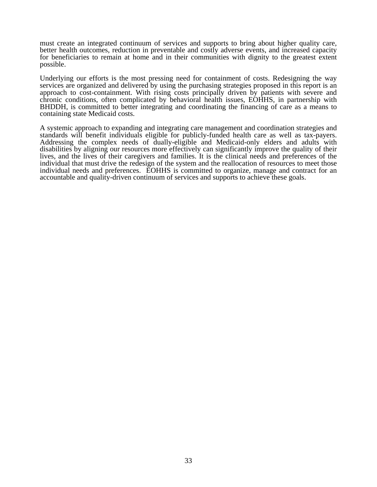must create an integrated continuum of services and supports to bring about higher quality care, better health outcomes, reduction in preventable and costly adverse events, and increased capacity for beneficiaries to remain at home and in their communities with dignity to the greatest extent possible.

Underlying our efforts is the most pressing need for containment of costs. Redesigning the way services are organized and delivered by using the purchasing strategies proposed in this report is an approach to cost-containment. With rising costs principally driven by patients with severe and chronic conditions, often complicated by behavioral health issues, EOHHS, in partnership with BHDDH, is committed to better integrating and coordinating the financing of care as a means to containing state Medicaid costs.

A systemic approach to expanding and integrating care management and coordination strategies and standards will benefit individuals eligible for publicly-funded health care as well as tax-payers. Addressing the complex needs of dually-eligible and Medicaid-only elders and adults with disabilities by aligning our resources more effectively can significantly improve the quality of their lives, and the lives of their caregivers and families. It is the clinical needs and preferences of the individual that must drive the redesign of the system and the reallocation of resources to meet those individual needs and preferences. EOHHS is committed to organize, manage and contract for an accountable and quality-driven continuum of services and supports to achieve these goals.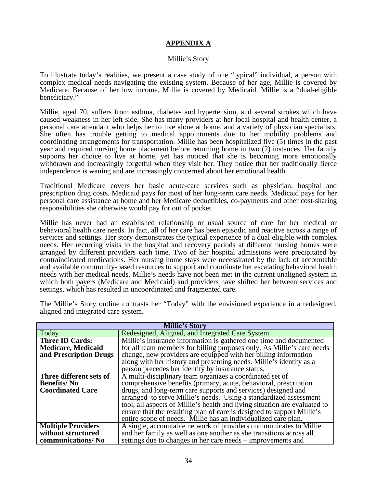# **APPENDIX A**

#### Millie's Story

To illustrate today's realities, we present a case study of one "typical" individual, a person with complex medical needs navigating the existing system. Because of her age, Millie is covered by Medicare. Because of her low income, Millie is covered by Medicaid. Millie is a "dual-eligible beneficiary."

Millie, aged 70, suffers from asthma, diabetes and hypertension, and several strokes which have caused weakness in her left side. She has many providers at her local hospital and health center, a personal care attendant who helps her to live alone at home, and a variety of physician specialists. She often has trouble getting to medical appointments due to her mobility problems and coordinating arrangements for transportation. Millie has been hospitalized five (5) times in the past year and required nursing home placement before returning home in two (2) instances. Her family supports her choice to live at home, yet has noticed that she is becoming more emotionally withdrawn and increasingly forgetful when they visit her. They notice that her traditionally fierce independence is waning and are increasingly concerned about her emotional health.

Traditional Medicare covers her basic acute-care services such as physician, hospital and prescription drug costs. Medicaid pays for most of her long-term care needs. Medicaid pays for her personal care assistance at home and her Medicare deductibles, co-payments and other cost-sharing responsibilities she otherwise would pay for out of pocket.

Millie has never had an established relationship or usual source of care for her medical or behavioral health care needs. In fact, all of her care has been episodic and reactive across a range of services and settings. Her story demonstrates the typical experience of a dual eligible with complex needs. Her recurring visits to the hospital and recovery periods at different nursing homes were arranged by different providers each time. Two of her hospital admissions were precipitated by contraindicated medications. Her nursing home stays were necessitated by the lack of accountable and available community-based resources to support and coordinate her escalating behavioral health needs with her medical needs. Millie's needs have not been met in the current unaligned system in which both payers (Medicare and Medicaid) and providers have shifted her between services and settings, which has resulted in uncoordinated and fragmented care.

| <b>Millie's Story</b>     |                                                                            |  |  |  |
|---------------------------|----------------------------------------------------------------------------|--|--|--|
| Today                     | Redesigned, Aligned, and Integrated Care System                            |  |  |  |
| <b>Three ID Cards:</b>    | Millie's insurance information is gathered one time and documented         |  |  |  |
| <b>Medicare, Medicaid</b> | for all team members for billing purposes only. As Millie's care needs     |  |  |  |
| and Prescription Drugs    | change, new providers are equipped with her billing information            |  |  |  |
|                           | along with her history and presenting needs. Millie's identity as a        |  |  |  |
|                           | person precedes her identity by insurance status.                          |  |  |  |
| Three different sets of   | A multi-disciplinary team organizes a coordinated set of                   |  |  |  |
| <b>Benefits/No</b>        | comprehensive benefits (primary, acute, behavioral, prescription           |  |  |  |
| <b>Coordinated Care</b>   | drugs, and long-term care supports and services) designed and              |  |  |  |
|                           | arranged to serve Millie's needs. Using a standardized assessment          |  |  |  |
|                           | tool, all aspects of Millie's health and living situation are evaluated to |  |  |  |
|                           | ensure that the resulting plan of care is designed to support Millie's     |  |  |  |
|                           | entire scope of needs. Millie has an individualized care plan.             |  |  |  |
| <b>Multiple Providers</b> | A single, accountable network of providers communicates to Millie          |  |  |  |
| without structured        | and her family as well as one another as she transitions across all        |  |  |  |
| communications/No         | settings due to changes in her care needs – improvements and               |  |  |  |

The Millie's Story outline contrasts her "Today" with the envisioned experience in a redesigned, aligned and integrated care system.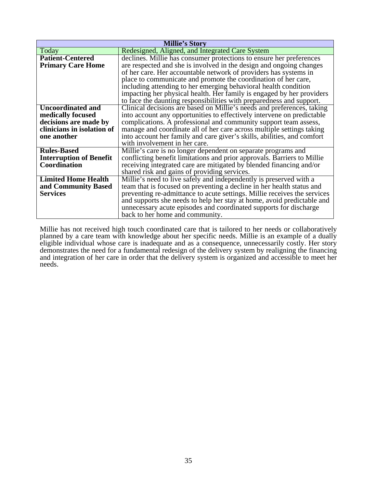| Millie's Story                 |                                                                          |  |  |
|--------------------------------|--------------------------------------------------------------------------|--|--|
| Today                          | Redesigned, Aligned, and Integrated Care System                          |  |  |
| <b>Patient-Centered</b>        | declines. Millie has consumer protections to ensure her preferences      |  |  |
| <b>Primary Care Home</b>       | are respected and she is involved in the design and ongoing changes      |  |  |
|                                | of her care. Her accountable network of providers has systems in         |  |  |
|                                | place to communicate and promote the coordination of her care,           |  |  |
|                                | including attending to her emerging behavioral health condition          |  |  |
|                                | impacting her physical health. Her family is engaged by her providers    |  |  |
|                                | to face the daunting responsibilities with preparedness and support.     |  |  |
| <b>Uncoordinated and</b>       | Clinical decisions are based on Millie's needs and preferences, taking   |  |  |
| medically focused              | into account any opportunities to effectively intervene on predictable   |  |  |
| decisions are made by          | complications. A professional and community support team assess,         |  |  |
| clinicians in isolation of     | manage and coordinate all of her care across multiple settings taking    |  |  |
| one another                    | into account her family and care giver's skills, abilities, and comfort  |  |  |
|                                | with involvement in her care.                                            |  |  |
| <b>Rules-Based</b>             | Millie's care is no longer dependent on separate programs and            |  |  |
| <b>Interruption of Benefit</b> | conflicting benefit limitations and prior approvals. Barriers to Millie  |  |  |
| Coordination                   | receiving integrated care are mitigated by blended financing and/or      |  |  |
|                                | shared risk and gains of providing services.                             |  |  |
| <b>Limited Home Health</b>     | Millie's need to live safely and independently is preserved with a       |  |  |
| and Community Based            | team that is focused on preventing a decline in her health status and    |  |  |
| <b>Services</b>                | preventing re-admittance to acute settings. Millie receives the services |  |  |
|                                | and supports she needs to help her stay at home, avoid predictable and   |  |  |
|                                | unnecessary acute episodes and coordinated supports for discharge        |  |  |
|                                | back to her home and community.                                          |  |  |

Millie has not received high touch coordinated care that is tailored to her needs or collaboratively planned by a care team with knowledge about her specific needs. Millie is an example of a dually eligible individual whose care is inadequate and as a consequence, unnecessarily costly. Her story demonstrates the need for a fundamental redesign of the delivery system by realigning the financing and integration of her care in order that the delivery system is organized and accessible to meet her needs.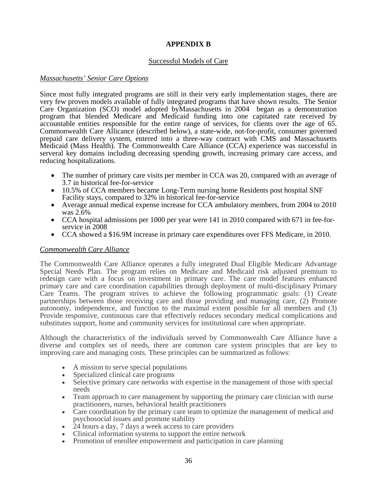# **APPENDIX B**

# Successful Models of Care

#### *Massachusetts' Senior Care Options*

Since most fully integrated programs are still in their very early implementation stages, there are very few proven models available of fully integrated programs that have shown results. The Senior Care Organization (SCO) model adopted byMassachusetts in 2004 began as a demonstration program that blended Medicare and Medicaid funding into one capitated rate received by accountable entities responsible for the entire range of services, for clients over the age of 65. Commonwealth Care Allicance (described below), a state-wide, not-for-profit, consumer governed prepaid care delivery system, entered into a three-way contract with CMS and Massachusetts Medicaid (Mass Health). The Commonwealth Care Alliance (CCA) experience was successful in serveral key domains including decreasing spending growth, increasing primary care access, and reducing hospitalizations.

- The number of primary care visits per member in CCA was 20, compared with an average of 3.7 in historical fee-for-service
- 10.5% of CCA members became Long-Term nursing home Residents post hospital SNF Facility stays, compared to 32% in historical fee-for-service
- Average annual medical expense increase for CCA ambulatory members, from 2004 to 2010 was 2.6%
- CCA hospital admissions per 1000 per year were 141 in 2010 compared with 671 in fee-forservice in 2008
- CCA showed a \$16.9M increase in primary care expenditures over FFS Medicare, in 2010.

# *Commonwealth Care Alliance*

The Commonwealth Care Alliance operates a fully integrated Dual Eligible Medicare Advantage Special Needs Plan. The program relies on Medicare and Medicaid risk adjusted premium to redesign care with a focus on investment in primary care. The care model features enhanced primary care and care coordination capabilities through deployment of multi-disciplinary Primary Care Teams. The program strives to achieve the following programmatic goals: (1) Create partnerships between those receiving care and those providing and managing care, (2) Promote autonomy, independence, and function to the maximal extent possible for all members and (3) Provide responsive, continuous care that effectively reduces secondary medical complications and substitutes support, home and community services for institutional care when appropriate.

Although the characteristics of the individuals served by Commonwealth Care Alliance have a diverse and complex set of needs, there are common care system principles that are key to improving care and managing costs. These principles can be summarized as follows:

- A mission to serve special populations
- Specialized clinical care programs
- Selective primary care networks with expertise in the management of those with special needs
- Team approach to care management by supporting the primary care clinician with nurse practitioners, nurses, behavioral health practitioners
- Care coordination by the primary care team to optimize the management of medical and psychosocial issues and promote stability
- 24 hours a day, 7 days a week access to care providers
- Clinical information systems to support the entire network
- Promotion of enrollee empowerment and participation in care planning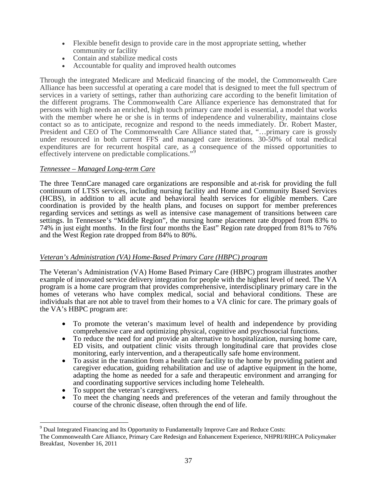- Flexible benefit design to provide care in the most appropriate setting, whether community or facility
- Contain and stabilize medical costs
- Accountable for quality and improved health outcomes

Through the integrated Medicare and Medicaid financing of the model, the Commonwealth Care Alliance has been successful at operating a care model that is designed to meet the full spectrum of services in a variety of settings, rather than authorizing care according to the benefit limitation of the different programs. The Commonwealth Care Alliance experience has demonstrated that for persons with high needs an enriched, high touch primary care model is essential, a model that works with the member where he or she is in terms of independence and vulnerability, maintains close contact so as to anticipate, recognize and respond to the needs immediately. Dr. Robert Master, President and CEO of The Commonwealth Care Alliance stated that, "…primary care is grossly under resourced in both current FFS and managed care iterations. 30-50% of total medical expenditures are for recurrent hospital care, as a consequence of the missed opportunities to effectively intervene on predictable complications."[9](#page-37-0)

# *Tennessee – Managed Long-term Care*

The three TennCare managed care organizations are responsible and at-risk for providing the full continuum of LTSS services, including nursing facility and Home and Community Based Services (HCBS), in addition to all acute and behavioral health services for eligible members. Care coordination is provided by the health plans, and focuses on support for member preferences regarding services and settings as well as intensive case management of transitions between care settings. In Tennessee's "Middle Region", the nursing home placement rate dropped from 83% to 74% in just eight months. In the first four months the East" Region rate dropped from 81% to 76% and the West Region rate dropped from 84% to 80%.

# *Veteran's Administration (VA) Home-Based Primary Care (HBPC) program*

The Veteran's Administration (VA) Home Based Primary Care (HBPC) program illustrates another example of innovated service delivery integration for people with the highest level of need. The VA program is a home care program that provides comprehensive, interdisciplinary primary care in the homes of veterans who have complex medical, social and behavioral conditions. These are individuals that are not able to travel from their homes to a VA clinic for care. The primary goals of the VA's HBPC program are:

- To promote the veteran's maximum level of health and independence by providing comprehensive care and optimizing physical, cognitive and psychosocial functions.
- To reduce the need for and provide an alternative to hospitalization, nursing home care, ED visits, and outpatient clinic visits through longitudinal care that provides close monitoring, early intervention, and a therapeutically safe home environment.
- To assist in the transition from a health care facility to the home by providing patient and caregiver education, guiding rehabilitation and use of adaptive equipment in the home, adapting the home as needed for a safe and therapeutic environment and arranging for • To support the veteran's caregivers.<br>• To support the veteran's caregivers.<br>• To meet the changing needs and preferences of the veteran and family throughout the
- 

 $\overline{a}$ 

course of the chronic disease, often through the end of life.

<span id="page-37-0"></span> $9^9$  Dual Integrated Financing and Its Opportunity to Fundamentally Improve Care and Reduce Costs:

The Commonwealth Care Alliance, Primary Care Redesign and Enhancement Experience, NHPRI/RIHCA Policymaker Breakfast, November 16, 2011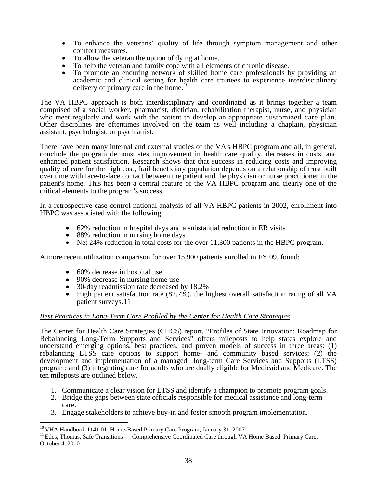- To enhance the veterans' quality of life through symptom management and other
- 
- To allow the veteran the option of dying at home.<br>To help the veteran and family cope with all elements of chronic disease.
- To promote an enduring network of skilled home care professionals by providing an academic and clinical setting for health care trainees to experience interdisciplinary delivery of primary care in the home.<sup>[10](#page-38-0)</sup>

The VA HBPC approach is both interdisciplinary and coordinated as it brings together a team comprised of a social worker, pharmacist, dietician, rehabilitation therapist, nurse, and physician who meet regularly and work with the patient to develop an appropriate customized care plan. Other disciplines are oftentimes involved on the team as well including a chaplain, physician assistant, psychologist, or psychiatrist.

There have been many internal and external studies of the VA's HBPC program and all, in general, conclude the program demonstrates improvement in health care quality, decreases in costs, and enhanced patient satisfaction. Research shows that that success in reducing costs and improving quality of care for the high cost, frail beneficiary population depends on a relationship of trust built over time with face-to-face contact between the patient and the physician or nurse practitioner in the patient's home. This has been a central feature of the VA HBPC program and clearly one of the critical elements to the program's success.

In a retrospective case-control national analysis of all VA HBPC patients in 2002, enrollment into HBPC was associated with the following:

- 62% reduction in hospital days and a substantial reduction in ER visits
- 88% reduction in nursing home days
- Net 24% reduction in total costs for the over 11,300 patients in the HBPC program.

A more recent utilization comparison for over 15,900 patients enrolled in FY 09, found:

- 
- 
- 
- 60% decrease in hospital use<br>• 90% decrease in nursing home use<br>• 30-day readmission rate decreased by 18.2%<br>• High patient satisfaction rate (82.7%), the highest overall satisfaction rating of all VA patient surveys.[11](#page-38-1)

# *Best Practices in Long-Term Care Profiled by the Center for Health Care Strategies*

The Center for Health Care Strategies (CHCS) report, "Profiles of State Innovation: Roadmap for Rebalancing Long-Term Supports and Services<sup>3</sup> offers mileposts to help states explore and understand emerging options, best practices, and proven models of success in three areas: (1) rebalancing LTSS care options to support home- and community based services; (2) the development and implementation of a managed long-term Care Services and Supports (LTSS) program; and (3) integrating care for adults who are dually eligible for Medicaid and Medicare. The ten mileposts are outlined below.

- 1. Communicate a clear vision for LTSS and identify a champion to promote program goals.
- 2. Bridge the gaps between state officials responsible for medical assistance and long-term care.
- 3. Engage stakeholders to achieve buy-in and foster smooth program implementation.

 $\overline{a}$ 

<span id="page-38-0"></span><sup>&</sup>lt;sup>10</sup> VHA Handbook 1141.01, Home-Based Primary Care Program, January 31, 2007<sup>.</sup>

<span id="page-38-1"></span><sup>&</sup>lt;sup>11</sup> Edes, Thomas, Safe Transitions — Comprehensive Coordinated Care through VA Home Based Primary Care, October 4, 2010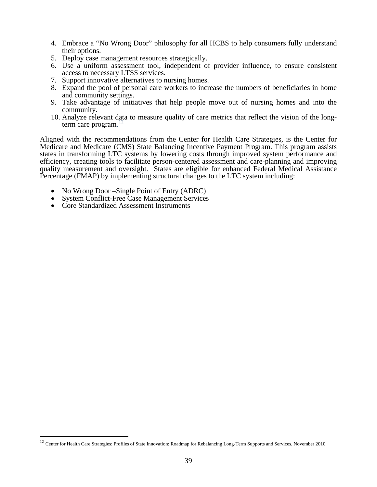- 4. Embrace a "No Wrong Door" philosophy for all HCBS to help consumers fully understand their options.
- 5. Deploy case management resources strategically.
- 6. Use a uniform assessment tool, independent of provider influence, to ensure consistent access to necessary LTSS services.
- 7. Support innovative alternatives to nursing homes.
- 8. Expand the pool of personal care workers to increase the numbers of beneficiaries in home and community settings.
- 9. Take advantage of initiatives that help people move out of nursing homes and into the community.
- 10. Analyze relevant data to measure quality of care metrics that reflect the vision of the longterm care program. [12](#page-39-0)

Aligned with the recommendations from the Center for Health Care Strategies, is the Center for Medicare and Medicare (CMS) State Balancing Incentive Payment Program. This program assists states in transforming LTC systems by lowering costs through improved system performance and efficiency, creating tools to facilitate person-centered assessment and care-planning and improving quality measurement and oversight. States are eligible for enhanced Federal Medical Assistance Percentage (FMAP) by implementing structural changes to the LTC system including:

- No Wrong Door –Single Point of Entry (ADRC)
- System Conflict-Free Case Management Services
- Core Standardized Assessment Instruments

 $\overline{a}$ 

<span id="page-39-0"></span><sup>&</sup>lt;sup>12</sup> Center for Health Care Strategies: Profiles of State Innovation: Roadmap for Rebalancing Long-Term Supports and Services, November 2010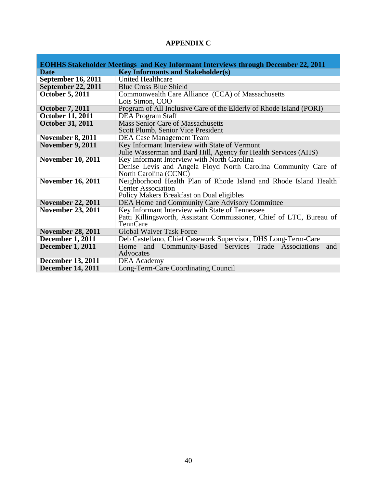# **APPENDIX C**

|                           | <b>EOHHS Stakeholder Meetings and Key Informant Interviews through December 22, 2011</b> |
|---------------------------|------------------------------------------------------------------------------------------|
| <b>Date</b>               | <b>Key Informants and Stakeholder(s)</b>                                                 |
| <b>September 16, 2011</b> | <b>United Healthcare</b>                                                                 |
| <b>September 22, 2011</b> | <b>Blue Cross Blue Shield</b>                                                            |
| <b>October 5, 2011</b>    | Commonwealth Care Alliance (CCA) of Massachusetts                                        |
|                           | Lois Simon, COO                                                                          |
| <b>October 7, 2011</b>    | Program of All Inclusive Care of the Elderly of Rhode Island (PORI)                      |
| <b>October 11, 2011</b>   | <b>DEA</b> Program Staff                                                                 |
| <b>October 31, 2011</b>   | <b>Mass Senior Care of Massachusetts</b>                                                 |
|                           | Scott Plumb, Senior Vice President                                                       |
| <b>November 8, 2011</b>   | <b>DEA Case Management Team</b>                                                          |
| <b>November 9, 2011</b>   | Key Informant Interview with State of Vermont                                            |
|                           | Julie Wasserman and Bard Hill, Agency for Health Services (AHS)                          |
| <b>November 10, 2011</b>  | Key Informant Interview with North Carolina                                              |
|                           | Denise Levis and Angela Floyd North Carolina Community Care of                           |
|                           | North Carolina (CCNC)                                                                    |
| <b>November 16, 2011</b>  | Neighborhood Health Plan of Rhode Island and Rhode Island Health                         |
|                           | <b>Center Association</b>                                                                |
|                           | Policy Makers Breakfast on Dual eligibles                                                |
| <b>November 22, 2011</b>  | DEA Home and Community Care Advisory Committee                                           |
| <b>November 23, 2011</b>  | Key Informant Interview with State of Tennessee                                          |
|                           | Patti Killingsworth, Assistant Commissioner, Chief of LTC, Bureau of<br>TennCare         |
| <b>November 28, 2011</b>  | <b>Global Waiver Task Force</b>                                                          |
|                           |                                                                                          |
| <b>December 1, 2011</b>   | Deb Castellano, Chief Casework Supervisor, DHS Long-Term-Care                            |
| <b>December 1, 2011</b>   | Home and Community-Based Services Trade Associations<br>and<br>Advocates                 |
| <b>December 13, 2011</b>  | <b>DEA</b> Academy                                                                       |
| <b>December 14, 2011</b>  | Long-Term-Care Coordinating Council                                                      |
|                           |                                                                                          |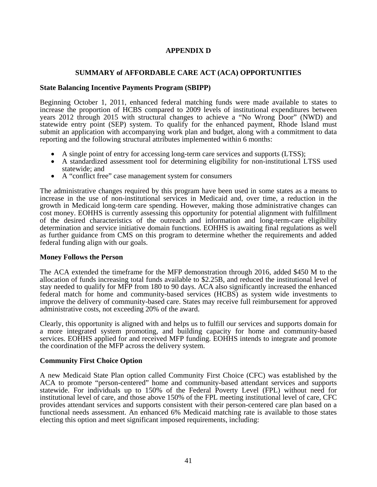# **APPENDIX D**

# **SUMMARY of AFFORDABLE CARE ACT (ACA) OPPORTUNITIES**

#### **State Balancing Incentive Payments Program (SBIPP)**

Beginning October 1, 2011, enhanced federal matching funds were made available to states to increase the proportion of HCBS compared to 2009 levels of institutional expenditures between years 2012 through 2015 with structural changes to achieve a "No Wrong Door" (NWD) and statewide entry point (SEP) system. To qualify for the enhanced payment, Rhode Island must submit an application with accompanying work plan and budget, along with a commitment to data reporting and the following structural attributes implemented within 6 months:

- A single point of entry for accessing long-term care services and supports (LTSS);
- A standardized assessment tool for determining eligibility for non-institutional LTSS used statewide; and
- A "conflict free" case management system for consumers

The administrative changes required by this program have been used in some states as a means to increase in the use of non-institutional services in Medicaid and, over time, a reduction in the growth in Medicaid long-term care spending. However, making those administrative changes can cost money. EOHHS is currently assessing this opportunity for potential alignment with fulfillment of the desired characteristics of the outreach and information and long-term-care eligibility determination and service initiative domain functions. EOHHS is awaiting final regulations as well as further guidance from CMS on this program to determine whether the requirements and added federal funding align with our goals.

#### **Money Follows the Person**

The ACA extended the timeframe for the MFP demonstration through 2016, added \$450 M to the allocation of funds increasing total funds available to \$2.25B, and reduced the institutional level of stay needed to qualify for MFP from 180 to 90 days. ACA also significantly increased the enhanced federal match for home and community-based services (HCBS) as system wide investments to improve the delivery of community-based care. States may receive full reimbursement for approved administrative costs, not exceeding 20% of the award.

Clearly, this opportunity is aligned with and helps us to fulfill our services and supports domain for a more integrated system promoting, and building capacity for home and community-based services. EOHHS applied for and received MFP funding. EOHHS intends to integrate and promote the coordination of the MFP across the delivery system.

#### **Community First Choice Option**

A new Medicaid State Plan option called Community First Choice (CFC) was established by the ACA to promote "person-centered" home and community-based attendant services and supports statewide. For individuals up to 150% of the Federal Poverty Level (FPL) without need for institutional level of care, and those above 150% of the FPL meeting institutional level of care, CFC provides attendant services and supports consistent with their person-centered care plan based on a functional needs assessment. An enhanced 6% Medicaid matching rate is available to those states electing this option and meet significant imposed requirements, including: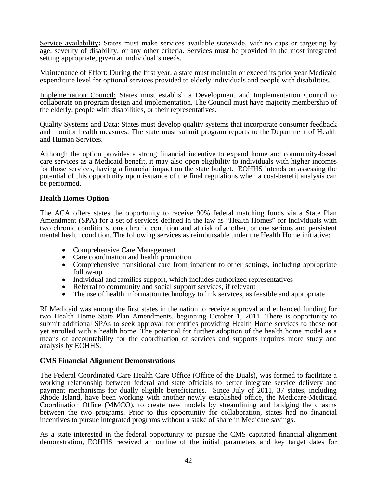Service availability**:** States must make services available statewide, with no caps or targeting by age, severity of disability, or any other criteria. Services must be provided in the most integrated setting appropriate, given an individual's needs.

Maintenance of Effort: During the first year, a state must maintain or exceed its prior year Medicaid expenditure level for optional services provided to elderly individuals and people with disabilities.

Implementation Council: States must establish a Development and Implementation Council to collaborate on program design and implementation. The Council must have majority membership of the elderly, people with disabilities, or their representatives.

Quality Systems and Data: States must develop quality systems that incorporate consumer feedback and monitor health measures. The state must submit program reports to the Department of Health and Human Services.

Although the option provides a strong financial incentive to expand home and community-based care services as a Medicaid benefit, it may also open eligibility to individuals with higher incomes for those services, having a financial impact on the state budget. EOHHS intends on assessing the potential of this opportunity upon issuance of the final regulations when a cost-benefit analysis can be performed.

#### **Health Homes Option**

The ACA offers states the opportunity to receive 90% federal matching funds via a State Plan Amendment (SPA) for a set of services defined in the law as "Health Homes" for individuals with two chronic conditions, one chronic condition and at risk of another, or one serious and persistent mental health condition. The following services as reimbursable under the Health Home initiative:

- 
- 
- Comprehensive Care Management<br>• Care coordination and health promotion<br>• Comprehensive transitional care from inpatient to other settings, including appropriate • Individual and families support, which includes authorized representatives<br>• Referral to community and social support services, if relevant<br>• The use of health information technology to link services, as feasible and app
- 
- 
- 

RI Medicaid was among the first states in the nation to receive approval and enhanced funding for two Health Home State Plan Amendments, beginning October 1, 2011. There is opportunity to submit additional SPAs to seek approval for entities providing Health Home services to those not yet enrolled with a health home. The potential for further adoption of the health home model as a means of accountability for the coordination of services and supports requires more study and analysis by EOHHS.

#### **CMS Financial Alignment Demonstrations**

The Federal Coordinated Care Health Care Office (Office of the Duals), was formed to facilitate a working relationship between federal and state officials to better integrate service delivery and payment mechanisms for dually eligible beneficiaries. Since July of 2011, 37 states, including Rhode Island, have been working with another newly established office, the Medicare-Medicaid Coordination Office (MMCO), to create new models by streamlining and bridging the chasms between the two programs. Prior to this opportunity for collaboration, states had no financial incentives to pursue integrated programs without a stake of share in Medicare savings.

As a state interested in the federal opportunity to pursue the CMS capitated financial alignment demonstration, EOHHS received an outline of the initial parameters and key target dates for